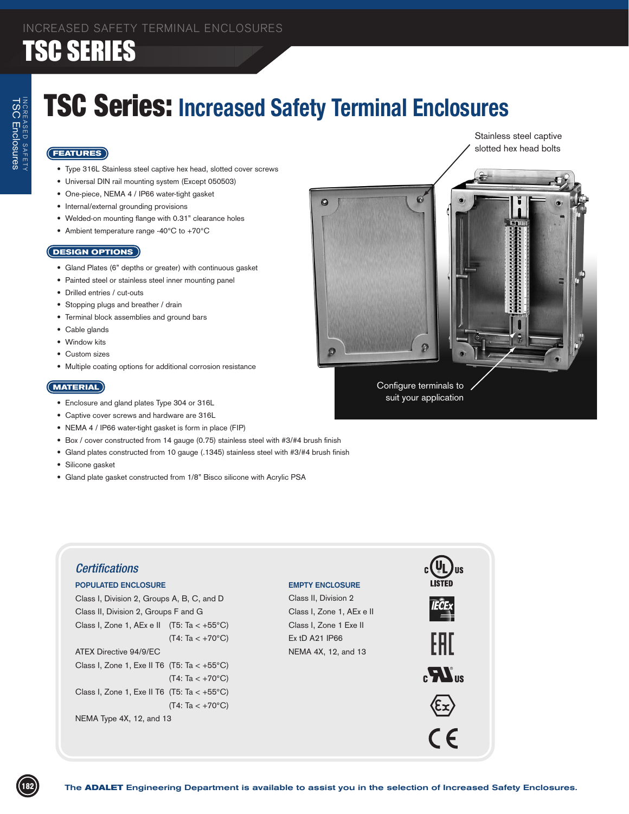### TSC Series: **Increased Safety Terminal Enclosures**

 $\bullet$ 

#### **FEATURES**

- • Type 316L Stainless steel captive hex head, slotted cover screws
- Universal DIN rail mounting system (Except 050503)
- One-piece, NEMA 4 / IP66 water-tight gasket
- • Internal/external grounding provisions
- • Welded-on mounting flange with 0.31" clearance holes
- Ambient temperature range -40°C to +70°C

#### **DESIGN OPTIONS**

- Gland Plates (6" depths or greater) with continuous gasket
- Painted steel or stainless steel inner mounting panel
- • Drilled entries / cut-outs
- • Stopping plugs and breather / drain
- • Terminal block assemblies and ground bars
- Cable glands
- Window kits
- • Custom sizes
- • Multiple coating options for additional corrosion resistance

#### **MATERIAL**

- Enclosure and gland plates Type 304 or 316L
- • Captive cover screws and hardware are 316L
- • NEMA 4 / IP66 water-tight gasket is form in place (FIP)
- Box / cover constructed from 14 gauge (0.75) stainless steel with #3/#4 brush finish
- Gland plates constructed from 10 gauge (.1345) stainless steel with #3/#4 brush finish
- • Silicone gasket
- Gland plate gasket constructed from 1/8" Bisco silicone with Acrylic PSA





Stainless steel captive

Configure terminals to suit your application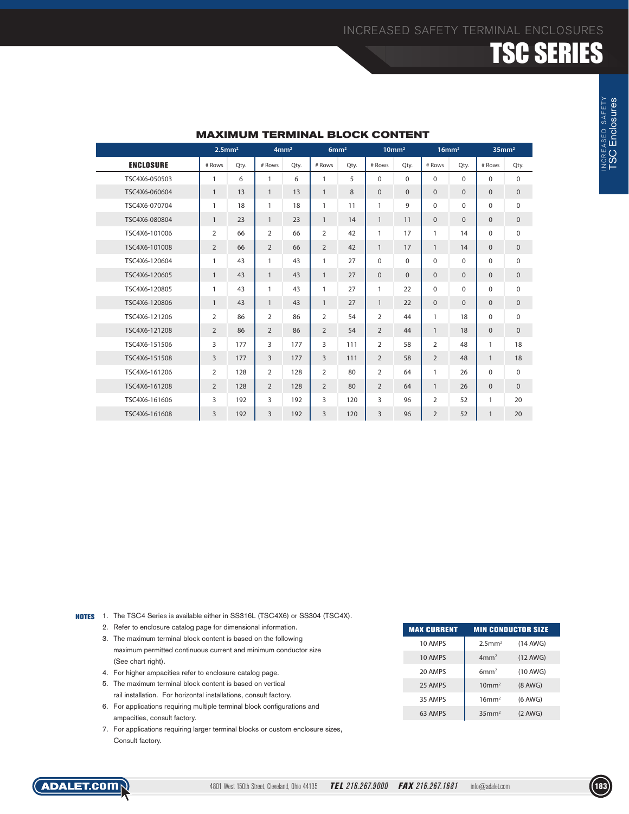|                  |                | $2.5$ mm <sup>2</sup><br>4mm <sup>2</sup> |                |      | 6mm <sup>2</sup> |      |                | 10mm <sup>2</sup><br>$16$ mm <sup>2</sup> |                |              | 35mm <sup>2</sup> |              |
|------------------|----------------|-------------------------------------------|----------------|------|------------------|------|----------------|-------------------------------------------|----------------|--------------|-------------------|--------------|
| <b>ENCLOSURE</b> | # Rows         | Qty.                                      | # Rows         | Qty. | # Rows           | Qty. | # Rows         | Qty.                                      | # Rows         | Qty.         | # Rows            | Qty.         |
| TSC4X6-050503    | 1              | 6                                         | $\mathbf{1}$   | 6    | $\mathbf{1}$     | 5    | $\Omega$       | $\Omega$                                  | $\mathbf 0$    | $\Omega$     | $\Omega$          | $\mathbf 0$  |
| TSC4X6-060604    | $\mathbf{1}$   | 13                                        | $\mathbf{1}$   | 13   | $\mathbf{1}$     | 8    | $\mathbf{0}$   | $\mathbf{0}$                              | $\mathbf{0}$   | $\mathbf{0}$ | $\mathbf{0}$      | $\mathbf{0}$ |
| TSC4X6-070704    | 1              | 18                                        | $\mathbf{1}$   | 18   | $\mathbf{1}$     | 11   | $\mathbf{1}$   | 9                                         | $\Omega$       | $\mathbf 0$  | $\Omega$          | $\mathbf 0$  |
| TSC4X6-080804    | $\mathbf{1}$   | 23                                        | $\mathbf{1}$   | 23   | $\mathbf{1}$     | 14   | $\mathbf{1}$   | 11                                        | $\mathbf{0}$   | $\mathbf{0}$ | $\mathbf{0}$      | $\bf 0$      |
| TSC4X6-101006    | 2              | 66                                        | 2              | 66   | 2                | 42   | $\mathbf{1}$   | 17                                        | 1              | 14           | $\Omega$          | $\mathbf 0$  |
| TSC4X6-101008    | $\overline{2}$ | 66                                        | 2              | 66   | $\overline{2}$   | 42   | $\mathbf{1}$   | 17                                        | $\mathbf{1}$   | 14           | $\Omega$          | $\mathbf{0}$ |
| TSC4X6-120604    | 1              | 43                                        | $\mathbf{1}$   | 43   | $\mathbf{1}$     | 27   | $\Omega$       | $\Omega$                                  | $\Omega$       | $\Omega$     | $\Omega$          | $\mathbf 0$  |
| TSC4X6-120605    | $\mathbf{1}$   | 43                                        | $\mathbf{1}$   | 43   | $\mathbf{1}$     | 27   | $\mathbf{0}$   | $\Omega$                                  | $\mathbf{0}$   | $\mathbf{0}$ | $\Omega$          | $\mathbf{0}$ |
| TSC4X6-120805    | 1              | 43                                        | $\mathbf{1}$   | 43   | $\mathbf{1}$     | 27   | $\mathbf{1}$   | 22                                        | 0              | $\mathbf 0$  | $\Omega$          | $\mathbf 0$  |
| TSC4X6-120806    | $\mathbf{1}$   | 43                                        | $\mathbf{1}$   | 43   | $\mathbf{1}$     | 27   | $\mathbf{1}$   | 22                                        | $\Omega$       | $\mathbf{0}$ | $\Omega$          | $\mathbf 0$  |
| TSC4X6-121206    | $\overline{2}$ | 86                                        | 2              | 86   | $\overline{2}$   | 54   | 2              | 44                                        | $\mathbf{1}$   | 18           | $\Omega$          | $\mathbf 0$  |
| TSC4X6-121208    | 2              | 86                                        | 2              | 86   | $\overline{2}$   | 54   | $\overline{2}$ | 44                                        | $\mathbf{1}$   | 18           | $\Omega$          | $\mathbf{0}$ |
| TSC4X6-151506    | 3              | 177                                       | 3              | 177  | 3                | 111  | $\overline{2}$ | 58                                        | $\overline{2}$ | 48           | $\mathbf{1}$      | 18           |
| TSC4X6-151508    | 3              | 177                                       | $\overline{3}$ | 177  | 3                | 111  | $\overline{2}$ | 58                                        | $\overline{2}$ | 48           | $\mathbf{1}$      | 18           |
| TSC4X6-161206    | 2              | 128                                       | 2              | 128  | 2                | 80   | 2              | 64                                        | 1              | 26           | $\Omega$          | $\mathbf 0$  |
| TSC4X6-161208    | $\overline{2}$ | 128                                       | 2              | 128  | $\overline{2}$   | 80   | $\overline{2}$ | 64                                        | $\mathbf{1}$   | 26           | $\Omega$          | $\mathbf{0}$ |
| TSC4X6-161606    | 3              | 192                                       | 3              | 192  | 3                | 120  | 3              | 96                                        | $\overline{2}$ | 52           | 1                 | 20           |
| TSC4X6-161608    | 3              | 192                                       | $\overline{3}$ | 192  | 3                | 120  | 3              | 96                                        | $\overline{2}$ | 52           | $\mathbf{1}$      | 20           |

#### **MAXIMUM TERMINAL BLOCK CONTENT**

NOTES 1. The TSC4 Series is available either in SS316L (TSC4X6) or SS304 (TSC4X).

- 2. Refer to enclosure catalog page for dimensional information.
- 3. The maximum terminal block content is based on the following maximum permitted continuous current and minimum conductor size (See chart right).
- 4. For higher ampacities refer to enclosure catalog page.
- 5. The maximum terminal block content is based on vertical rail installation. For horizontal installations, consult factory.
- 6. For applications requiring multiple terminal block configurations and ampacities, consult factory.
- 7. For applications requiring larger terminal blocks or custom enclosure sizes, Consult factory.

| <b>MAX CURRENT</b> |                       | <b>MIN CONDUCTOR SIZE</b> |
|--------------------|-----------------------|---------------------------|
| 10 AMPS            | $2.5$ mm <sup>2</sup> | $(14$ AWG)                |
| 10 AMPS            | 4mm <sup>2</sup>      | $(12$ AWG)                |
| 20 AMPS            | 6mm <sup>2</sup>      | $(10$ AWG)                |
| 25 AMPS            | 10mm <sup>2</sup>     | $(8$ AWG)                 |
| 35 AMPS            | 16mm <sup>2</sup>     | $(6$ AWG)                 |
| 63 AMPS            | 35mm <sup>2</sup>     | $(2$ AWG)                 |

TSC Enclosures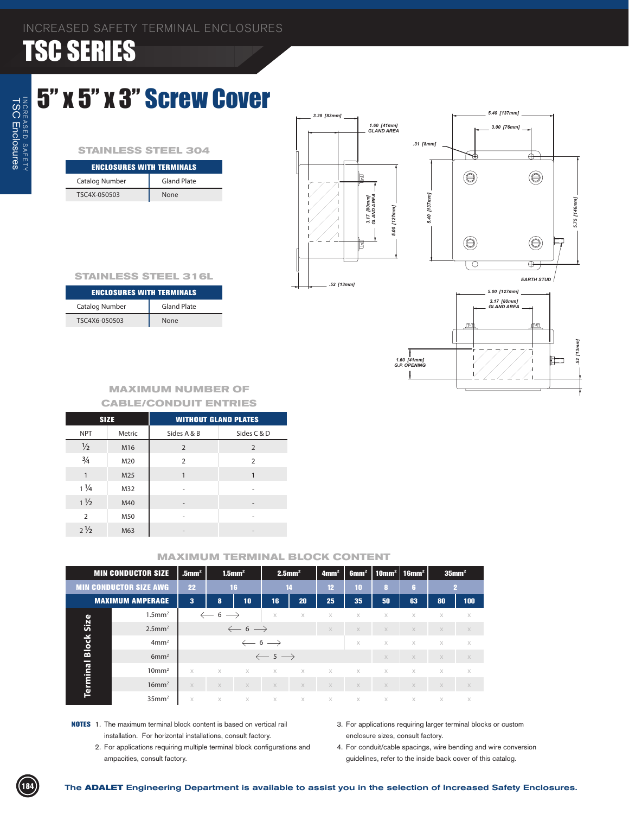### 5" x 5" x 3" Screw Cover

#### **STAINLESS STEEL 304**

| <b>ENCLOSURES WITH TERMINALS</b> |                    |  |  |  |  |  |
|----------------------------------|--------------------|--|--|--|--|--|
| <b>Catalog Number</b>            | <b>Gland Plate</b> |  |  |  |  |  |
| TSC4X-050503                     | None               |  |  |  |  |  |

![](_page_2_Figure_5.jpeg)

#### **STAINLESS STEEL 316L**

| <b>ENCLOSURES WITH TERMINALS</b> |                    |  |  |  |  |  |
|----------------------------------|--------------------|--|--|--|--|--|
| Catalog Number                   | <b>Gland Plate</b> |  |  |  |  |  |
| TSC4X6-050503                    | None               |  |  |  |  |  |

#### **MAXIMUM NUMBER OF CABLE/CONDUIT ENTRIES**

|                | <b>SIZE</b> | <b>WITHOUT GLAND PLATES</b> |                |
|----------------|-------------|-----------------------------|----------------|
| <b>NPT</b>     | Metric      | Sides A & B                 | Sides C & D    |
| $\frac{1}{2}$  | M16         | $\overline{2}$              | $\overline{2}$ |
| $\frac{3}{4}$  | M20         | $\overline{2}$              | $\overline{2}$ |
| $\mathbf{1}$   | M25         |                             |                |
| $1\frac{1}{4}$ | M32         |                             |                |
| $1\frac{1}{2}$ | M40         |                             |                |
| $\overline{2}$ | M50         |                             |                |
| $2\frac{1}{2}$ | M63         |                             |                |

|          | <b>MIN CONDUCTOR SIZE</b>     | $.5$ mm <sup>2</sup>    | $1.5$ mm <sup>2</sup>        |          |             | $2.5$ mm <sup>2</sup> | 4mm <sup>2</sup> |          | $ 6$ mm <sup>2</sup>   10mm <sup>2</sup>   16mm <sup>2</sup> |          | $35$ mm <sup>2</sup> |          |
|----------|-------------------------------|-------------------------|------------------------------|----------|-------------|-----------------------|------------------|----------|--------------------------------------------------------------|----------|----------------------|----------|
|          | <b>MIN CONDUCTOR SIZE AWG</b> |                         | 16                           |          | 14          |                       | 12 <sup>2</sup>  | 10       | $\mathbf{a}$                                                 | G.       | 2                    |          |
|          | <b>MAXIMUM AMPERAGE</b>       | $\overline{\mathbf{3}}$ | 8                            | 10       | 16'         | 20                    | 25               | 35       | 50                                                           | 63       | 80                   | 100      |
|          | $1.5$ mm <sup>2</sup>         |                         | $\leftarrow$ 6 $\rightarrow$ |          |             | X                     | X                | $\times$ | $\times$                                                     | $\times$ | X                    | X        |
| Size     | $2.5$ mm <sup>2</sup>         |                         | $\leftarrow$ 6 $\rightarrow$ |          |             |                       | $\times$         | $\times$ | $\times$                                                     | $\times$ | $\times$             | $\times$ |
| Block    | 4mm <sup>2</sup>              |                         | $\leftarrow$ 6 $\rightarrow$ |          |             |                       |                  | $\times$ | $\times$                                                     | $\times$ | $\times$             | X        |
|          | 6mm <sup>2</sup>              |                         | $\leftarrow$ 5 $\rightarrow$ |          |             |                       |                  |          | $\times$                                                     | $\times$ | $\times$             | X        |
|          | 10mm <sup>2</sup>             | $\times$                | $\times$                     | $\times$ | $\times$    | $\times$              | $\times$         | $\times$ | $\times$                                                     | $\times$ | $\times$             | X        |
| Terminal | $16$ mm <sup>2</sup>          | X                       | $\times$                     | $\times$ | $\times$    | X                     | $\times$         | $\times$ | $\times$                                                     | X        | $\times$             | $\times$ |
|          | $35$ mm <sup>2</sup>          | $\times$                | $\mathsf{X}$                 | $\times$ | $\mathbb X$ | X                     | $\times$         | $\times$ | $\times$                                                     | X        | $\times$             | X        |

- **NOTES** 1. The maximum terminal block content is based on vertical rail installation. For horizontal installations, consult factory.
	- 2. For applications requiring multiple terminal block configurations and ampacities, consult factory.
- 3. For applications requiring larger terminal blocks or custom enclosure sizes, consult factory.
- 4. For conduit/cable spacings, wire bending and wire conversion guidelines, refer to the inside back cover of this catalog.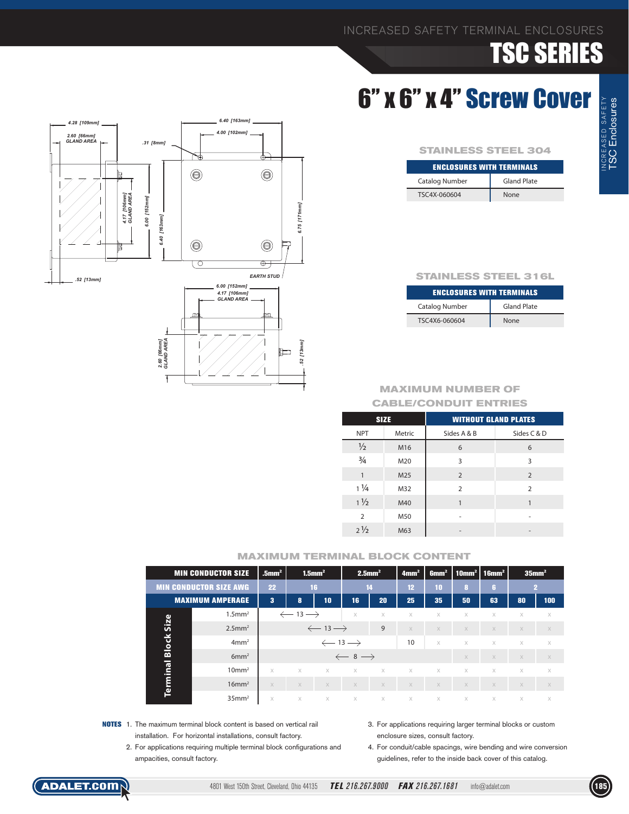### 6" x 6" x 4" Screw Cover

| <b>STAINLESS STEEL 304</b>       |                    |  |  |  |  |
|----------------------------------|--------------------|--|--|--|--|
| <b>ENCLOSURES WITH TERMINALS</b> |                    |  |  |  |  |
| Catalog Number                   | <b>Gland Plate</b> |  |  |  |  |

TSC4X-060604 None

![](_page_3_Figure_5.jpeg)

| <b>ENCLOSURES WITH TERMINALS</b> |                    |  |  |  |  |  |  |  |
|----------------------------------|--------------------|--|--|--|--|--|--|--|
| Catalog Number                   | <b>Gland Plate</b> |  |  |  |  |  |  |  |
| TSC4X6-060604                    | None               |  |  |  |  |  |  |  |

#### **MAXIMUM NUMBER OF CABLE/CONDUIT ENTRIES**

| <b>SIZE</b>    |        | <b>WITHOUT GLAND PLATES</b> |                |  |  |  |  |
|----------------|--------|-----------------------------|----------------|--|--|--|--|
| <b>NPT</b>     | Metric | Sides A & B                 | Sides C & D    |  |  |  |  |
| $\frac{1}{2}$  | M16    | 6                           | 6              |  |  |  |  |
| $\frac{3}{4}$  | M20    | 3                           | 3              |  |  |  |  |
| $\mathbf{1}$   | M25    | $\overline{2}$              | $\overline{2}$ |  |  |  |  |
| $1\frac{1}{4}$ | M32    | $\mathcal{P}$               | $\overline{2}$ |  |  |  |  |
| $1\frac{1}{2}$ | M40    | 1                           |                |  |  |  |  |
| $\overline{2}$ | M50    |                             |                |  |  |  |  |
| $2\frac{1}{2}$ | M63    |                             |                |  |  |  |  |

#### **MAXIMUM TERMINAL BLOCK CONTENT**

|              | <b>MIN CONDUCTOR SIZE</b>     |                               | $1.5$ mm <sup>2</sup>         |          | $2.5$ mm <sup>2</sup>        |             | 4mm <sup>2</sup> | 6mm <sup>2</sup> | $\mid$ 10mm <sup>2</sup> $\mid$ 16mm <sup>2</sup> |          | $35$ mm <sup>2</sup> |          |
|--------------|-------------------------------|-------------------------------|-------------------------------|----------|------------------------------|-------------|------------------|------------------|---------------------------------------------------|----------|----------------------|----------|
|              | <b>MIN CONDUCTOR SIZE AWG</b> |                               | 16                            |          | 14                           |             | 12 <sup>2</sup>  | 10               | 8                                                 | f.       |                      | 12       |
|              | <b>MAXIMUM AMPERAGE</b>       | 3                             | 8                             | 10       | 16                           | 20          | 25               | 35               | 50                                                | 63       | 80                   | 100      |
|              | $1.5$ mm <sup>2</sup>         |                               | $\leftarrow$ 13 $\rightarrow$ |          | $\times$                     | $\times$    | $\times$         | $\times$         | X                                                 | X        | $\times$             | X        |
| Size         | $2.5$ mm <sup>2</sup>         | $\leftarrow$ 13 $\rightarrow$ |                               |          |                              | 9           | $\times$         | X                | X                                                 | $\times$ | $\times$             | $\times$ |
| <b>Block</b> | 4mm <sup>2</sup>              | $\leftarrow$ 13 $\rightarrow$ |                               |          |                              |             | 10               | $\times$         | $\times$                                          | $\times$ | $\times$             | $\times$ |
|              | 6mm <sup>2</sup>              |                               |                               |          | $\leftarrow$ 8 $\rightarrow$ |             |                  |                  | $\times$                                          | $\times$ | $\times$             | $\times$ |
| Terminal     | 10mm <sup>2</sup>             | $\times$                      | $\times$                      | $\times$ | $\times$                     | $\times$    | $\times$         | $\times$         | $\times$                                          | $\times$ | $\times$             | $\times$ |
|              | $16$ mm <sup>2</sup>          | $\times$                      | $\times$                      | $\times$ | $\times$                     | $\times$    | $\times$         | $\times$         | $\times$                                          | $\times$ | $\times$             | $\times$ |
|              | $35$ mm <sup>2</sup>          | $\times$                      | $\times$                      | $\times$ | $\times$                     | $\mathbb X$ | $\times$         | $\times$         | $\times$                                          | $\times$ | $\times$             | $\times$ |

- **NOTES** 1. The maximum terminal block content is based on vertical rail installation. For horizontal installations, consult factory.
	- 2. For applications requiring multiple terminal block configurations and ampacities, consult factory.
- 3. For applications requiring larger terminal blocks or custom enclosure sizes, consult factory.

4. For conduit/cable spacings, wire bending and wire conversion guidelines, refer to the inside back cover of this catalog.

![](_page_3_Figure_15.jpeg)

![](_page_3_Picture_16.jpeg)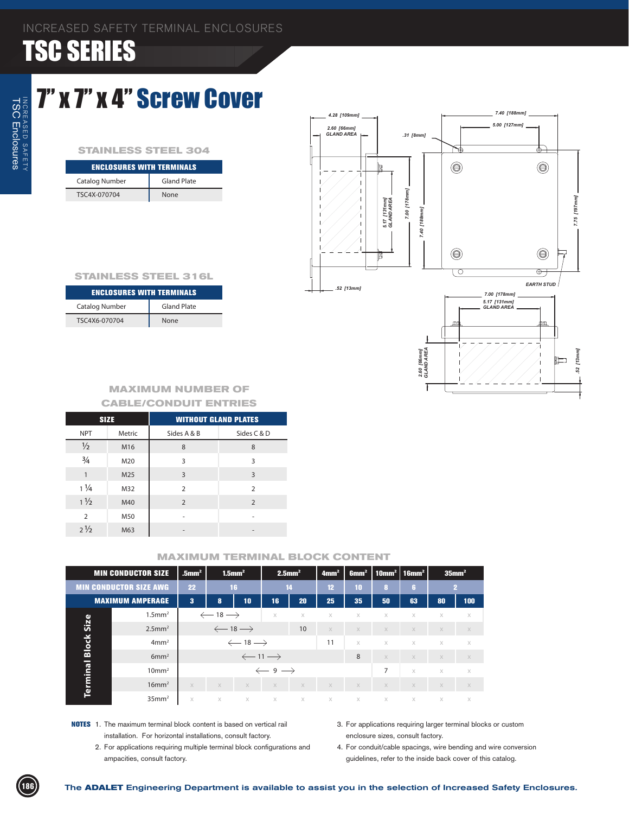### 7" x 7" x 4" Screw Cover

#### **STAINLESS STEEL 304**

| <b>ENCLOSURES WITH TERMINALS</b> |                    |  |  |  |  |  |
|----------------------------------|--------------------|--|--|--|--|--|
| Catalog Number                   | <b>Gland Plate</b> |  |  |  |  |  |
| TSC4X-070704                     | <b>None</b>        |  |  |  |  |  |

![](_page_4_Figure_5.jpeg)

#### **STAINLESS STEEL 316L**

| <b>ENCLOSURES WITH TERMINALS</b> |             |  |  |  |  |  |
|----------------------------------|-------------|--|--|--|--|--|
| Catalog Number                   | Gland Plate |  |  |  |  |  |
| TSC4X6-070704                    | None        |  |  |  |  |  |

#### **MAXIMUM NUMBER OF CABLE/CONDUIT ENTRIES**

|                | <b>SIZE</b>     | <b>WITHOUT GLAND PLATES</b> |                |  |  |  |
|----------------|-----------------|-----------------------------|----------------|--|--|--|
| <b>NPT</b>     | Metric          | Sides A & B                 | Sides C & D    |  |  |  |
| $\frac{1}{2}$  | M16             | 8                           | 8              |  |  |  |
| $\frac{3}{4}$  | M20             | 3                           | 3              |  |  |  |
| $\mathbf{1}$   | M <sub>25</sub> | 3                           | 3              |  |  |  |
| $1\frac{1}{4}$ | M32             | 2                           | $\overline{2}$ |  |  |  |
| $1\frac{1}{2}$ | M40             | $\overline{2}$              | $\overline{2}$ |  |  |  |
| $\overline{2}$ | M50             |                             | ۰              |  |  |  |
| $2\frac{1}{2}$ | M63             |                             |                |  |  |  |

|                               | <b>MIN CONDUCTOR SIZE</b> | $.5$ mm <sup>2</sup> | $1.5$ mm <sup>2</sup>         |                               |                               |             | $2.5$ mm <sup>2</sup> |          | 4mm <sup>2</sup> | 6mm <sup>2</sup> |          | $\mid$ 10mm $^2$ $\mid$ 16mm $^2$ |  | $35$ mm <sup>2</sup> |
|-------------------------------|---------------------------|----------------------|-------------------------------|-------------------------------|-------------------------------|-------------|-----------------------|----------|------------------|------------------|----------|-----------------------------------|--|----------------------|
| <b>MIN CONDUCTOR SIZE AWG</b> |                           | 22                   |                               | 16                            |                               | 14          | 12 <sup>2</sup>       | 10       | 8                | 6                |          | $\mathbf{2}$                      |  |                      |
|                               | <b>MAXIMUM AMPERAGE</b>   | 3                    | 10<br>8                       |                               | 16'                           | 20          | 25                    | 35       | 50               | 63               | 80       | 100                               |  |                      |
|                               | $1.5$ mm <sup>2</sup>     |                      | $\leftarrow$ 18 $\rightarrow$ |                               | $\times$                      | $\times$    | X                     | $\times$ | X                | $\times$         | $\times$ | $\times$                          |  |                      |
| Size                          | $2.5$ mm <sup>2</sup>     |                      |                               | $\leftarrow$ 18 $\rightarrow$ |                               | 10          | $\times$              | $\times$ | X                | $\times$         | $\times$ | $\times$                          |  |                      |
| Block                         | 4mm <sup>2</sup>          |                      |                               | $\leftarrow$ 18 $\rightarrow$ |                               |             | 11                    | $\times$ | X                | $\times$         | $\times$ | $\times$                          |  |                      |
|                               | 6mm <sup>2</sup>          |                      |                               |                               | $\leftarrow$ 11 $\rightarrow$ |             |                       | 8        | $\times$         | $\times$         | $\times$ | $\times$                          |  |                      |
|                               | $10 \text{mm}^2$          |                      |                               |                               | $\leftarrow$ 9 $\rightarrow$  |             |                       |          | $\overline{7}$   | $\times$         | $\times$ | $\times$                          |  |                      |
| Terminal                      | $16$ mm <sup>2</sup>      | $\times$             | X                             | $\times$                      | $\times$                      | $\times$    | $\times$              | $\times$ | $\mathbb X$      | $\times$         | $\times$ | $\times$                          |  |                      |
|                               | 35mm <sup>2</sup>         | X                    | $\times$                      | $\times$                      | $\mathsf{X}$                  | $\mathbb X$ | $\times$              | $\chi$   | $\times$         | $\times$         | $\times$ | $\times$                          |  |                      |

- **NOTES** 1. The maximum terminal block content is based on vertical rail installation. For horizontal installations, consult factory.
	- 2. For applications requiring multiple terminal block configurations and ampacities, consult factory.
- 3. For applications requiring larger terminal blocks or custom enclosure sizes, consult factory.
- 4. For conduit/cable spacings, wire bending and wire conversion guidelines, refer to the inside back cover of this catalog.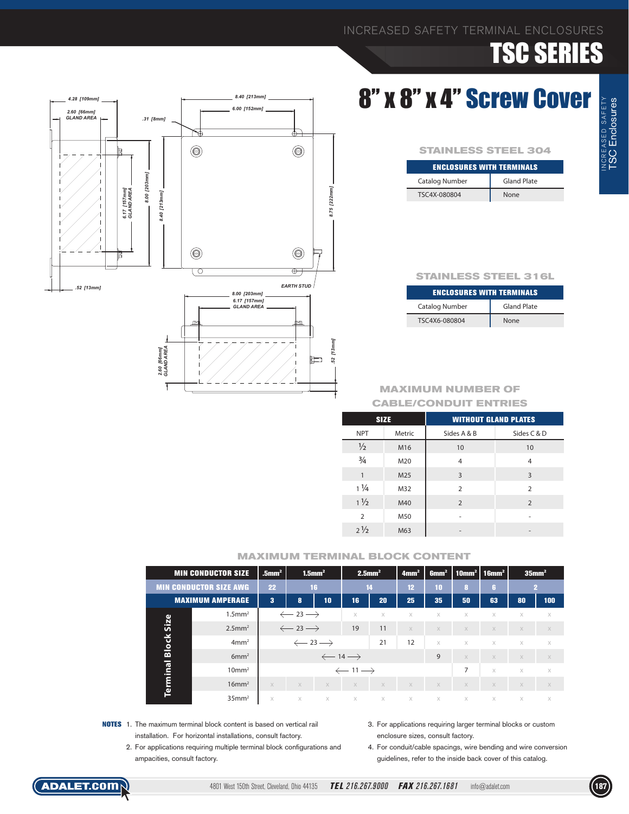### 8" x 8" x 4" Screw Cover

| <b>STAINLESS STEEL 304</b>       |                    |  |  |  |  |  |
|----------------------------------|--------------------|--|--|--|--|--|
| <b>ENCLOSURES WITH TERMINALS</b> |                    |  |  |  |  |  |
| Catalog Number                   | <b>Gland Plate</b> |  |  |  |  |  |
| TSC4X-080804                     | None               |  |  |  |  |  |

#### **STAINLESS STEEL 316L**

| <b>ENCLOSURES WITH TERMINALS</b> |                    |  |  |  |  |  |
|----------------------------------|--------------------|--|--|--|--|--|
| <b>Catalog Number</b>            | <b>Gland Plate</b> |  |  |  |  |  |
| TSC4X6-080804                    | None               |  |  |  |  |  |

#### **MAXIMUM NUMBER OF CABLE/CONDUIT ENTRIES**

| <b>SIZE</b>    |        | <b>WITHOUT GLAND PLATES</b> |                          |  |  |  |
|----------------|--------|-----------------------------|--------------------------|--|--|--|
| <b>NPT</b>     | Metric | Sides A & B                 | Sides C & D              |  |  |  |
| $\frac{1}{2}$  | M16    | 10                          | 10                       |  |  |  |
| $\frac{3}{4}$  | M20    | 4                           | 4                        |  |  |  |
| $\mathbf{1}$   | M25    | 3                           | 3                        |  |  |  |
| $1\frac{1}{4}$ | M32    | $\overline{2}$              | $\overline{2}$           |  |  |  |
| $1\frac{1}{2}$ | M40    | $\overline{2}$              | $\overline{2}$           |  |  |  |
| $\overline{2}$ | M50    |                             |                          |  |  |  |
| $2\frac{1}{2}$ | M63    |                             | $\overline{\phantom{a}}$ |  |  |  |

#### **MAXIMUM TERMINAL BLOCK CONTENT**

|              | <b>MIN CONDUCTOR SIZE</b>     | $1.5$ mm <sup>2</sup><br>$.5$ mm <sup>2</sup> |                               |                               |                               | $2.5$ mm <sup>2</sup> |          | 4mm <sup>2</sup> | 6mm <sup>2</sup> | $\mid$ 10mm <sup>2</sup> $\mid$ 16mm <sup>2</sup> |          | $35$ mm <sup>2</sup> |  |
|--------------|-------------------------------|-----------------------------------------------|-------------------------------|-------------------------------|-------------------------------|-----------------------|----------|------------------|------------------|---------------------------------------------------|----------|----------------------|--|
|              | <b>MIN CONDUCTOR SIZE AWG</b> |                                               |                               | 14<br>16                      |                               | 12                    | 10       | 8                | ß.               |                                                   | 12       |                      |  |
|              | <b>MAXIMUM AMPERAGE</b>       | 3<br>10<br>8                                  |                               | 16                            | 20                            | 25                    | 35       | 50               | 63               | 80                                                | 100      |                      |  |
|              | $1.5$ mm <sup>2</sup>         |                                               | $\leftarrow$ 23 $\rightarrow$ |                               | $\times$                      | $\times$              | $\times$ | $\times$         | X                | X                                                 | $\times$ | $\times$             |  |
| Size         | $2.5$ mm <sup>2</sup>         | $\leftarrow$ 23 $\rightarrow$                 |                               |                               | 19                            | 11                    | $\times$ | X                | X                | $\times$                                          | $\times$ | $\times$             |  |
| <b>Block</b> | 4mm <sup>2</sup>              |                                               | $\leftarrow$ 23 $\rightarrow$ |                               |                               | 21                    | 12       | $\times$         | $\times$         | $\times$                                          | $\times$ | $\times$             |  |
|              | 6mm <sup>2</sup>              |                                               |                               | $\leftarrow$ 14 $\rightarrow$ |                               |                       |          | 9                | X                | $\times$                                          | $\times$ | $\times$             |  |
| Terminal     | 10mm <sup>2</sup>             |                                               |                               |                               | $\leftarrow$ 11 $\rightarrow$ |                       |          |                  | 7                | $\times$                                          | $\times$ | $\times$             |  |
|              | $16$ mm <sup>2</sup>          | $\times$                                      | X                             | $\times$                      | $\times$                      | $\times$              | $\times$ | $\times$         | $\times$         | $\times$                                          | $\times$ | $\times$             |  |
|              | $35$ mm <sup>2</sup>          | $\times$                                      | $\times$                      | $\times$                      | X                             | X                     | $\times$ | $\times$         | $\times$         | $\times$                                          | $\times$ | $\times$             |  |

- **NOTES** 1. The maximum terminal block content is based on vertical rail installation. For horizontal installations, consult factory.
	- 2. For applications requiring multiple terminal block configurations and ampacities, consult factory.
- 3. For applications requiring larger terminal blocks or custom enclosure sizes, consult factory.

4. For conduit/cable spacings, wire bending and wire conversion guidelines, refer to the inside back cover of this catalog.

![](_page_5_Figure_15.jpeg)

![](_page_5_Picture_16.jpeg)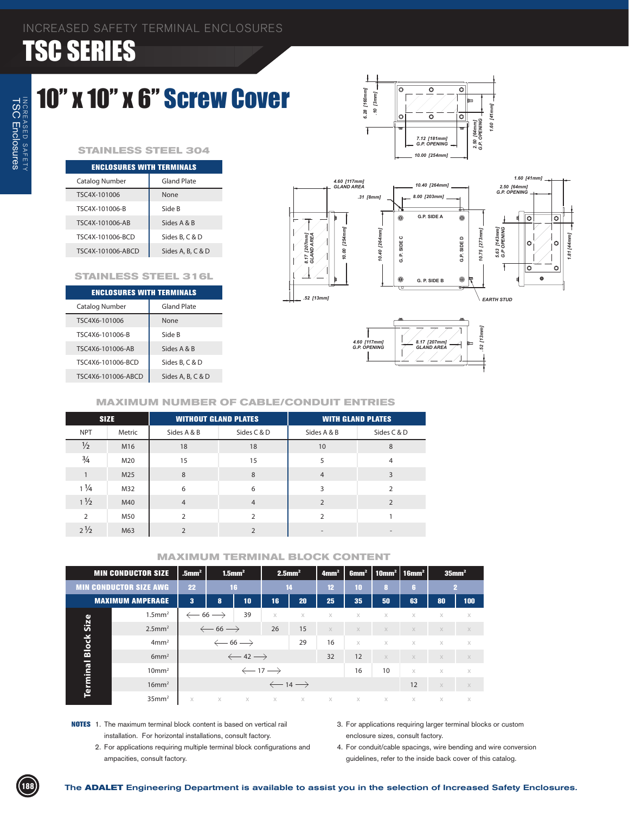### 10" x 10" x 6" Screw Cover

#### **STAINLESS STEEL 304**

| <b>ENCLOSURES WITH TERMINALS</b> |                   |  |  |  |  |  |
|----------------------------------|-------------------|--|--|--|--|--|
| Catalog Number                   | Gland Plate       |  |  |  |  |  |
| TSC4X-101006                     | None              |  |  |  |  |  |
| TSC4X-101006-B                   | Side B            |  |  |  |  |  |
| TSC4X-101006-AB                  | Sides A & B       |  |  |  |  |  |
| TSC4X-101006-BCD                 | Sides B, C & D    |  |  |  |  |  |
| TSC4X-101006-ABCD                | Sides A, B, C & D |  |  |  |  |  |

#### **STAINLESS STEEL 316L**

| <b>ENCLOSURES WITH TERMINALS</b> |  |  |  |  |  |  |  |
|----------------------------------|--|--|--|--|--|--|--|
| <b>Gland Plate</b>               |  |  |  |  |  |  |  |
| None                             |  |  |  |  |  |  |  |
| Side B                           |  |  |  |  |  |  |  |
| Sides A & B                      |  |  |  |  |  |  |  |
| Sides B, C & D                   |  |  |  |  |  |  |  |
| Sides A, B, C & D                |  |  |  |  |  |  |  |
|                                  |  |  |  |  |  |  |  |

![](_page_6_Figure_7.jpeg)

 $\overline{\circ}$ 

ō

[41mm]

 $0.09$ 

*.10 [3mm] 6.28 [160mm]*

 $\mathbf c$ 

.10 [3mm]

Ŧ

6.28 [160mm]

#### **MAXIMUM NUMBER OF CABLE/CONDUIT ENTRIES**

|                | <b>SIZE</b> | <b>WITHOUT GLAND PLATES</b> |                | <b>WITH GLAND PLATES</b> |                |  |  |
|----------------|-------------|-----------------------------|----------------|--------------------------|----------------|--|--|
| <b>NPT</b>     | Metric      | Sides A & B                 | Sides C & D    | Sides A & B              | Sides C & D    |  |  |
| $\frac{1}{2}$  | M16         | 18                          | 18             | 10                       | 8              |  |  |
| $\frac{3}{4}$  | M20         | 15                          | 15             | 5                        | 4              |  |  |
|                | M25         | 8                           | 8              | $\overline{4}$           | 3              |  |  |
| $1\frac{1}{4}$ | M32         | 6                           | 6              | 3                        | $\overline{2}$ |  |  |
| $1\frac{1}{2}$ | M40         | $\overline{4}$              | $\overline{4}$ | $\mathcal{P}$            | $\mathcal{L}$  |  |  |
| $\overline{2}$ | M50         | $\mathcal{P}$               | $\mathcal{P}$  | $\mathcal{P}$            |                |  |  |
| $2\frac{1}{2}$ | M63         | $\overline{2}$              | $\overline{2}$ | $\overline{\phantom{a}}$ |                |  |  |

| <b>MIN CONDUCTOR SIZE</b>     |          | $1.5$ mm <sup>2</sup><br>$.5$ mm $^2$ |                               |          | $2.5$ mm <sup>2</sup>                                                | 4mm <sup>2</sup>  | 6mm <sup>2</sup> | $\mid$ 10mm $^2$ $\mid$ 16mm $^2$ |          | $35$ mm <sup>2</sup> |                |
|-------------------------------|----------|---------------------------------------|-------------------------------|----------|----------------------------------------------------------------------|-------------------|------------------|-----------------------------------|----------|----------------------|----------------|
| <b>MIN CONDUCTOR SIZE AWG</b> | 22       |                                       |                               |          |                                                                      | 12                | 10               | 8                                 | <b>G</b> |                      | $\overline{2}$ |
| <b>MAXIMUM AMPERAGE</b>       | $\bf{3}$ | 8                                     | 10                            | 16       | 20                                                                   | 25                | 35               | 50                                | 63       | 80                   | 100            |
| $1.5$ mm <sup>2</sup>         |          |                                       | 39                            | $\times$ | $\times$                                                             | $\times$          | $\times$         | X                                 | $\times$ | X                    | X              |
| $2.5$ mm <sup>2</sup>         |          | $\leftarrow$ 66 $\rightarrow$         |                               |          | 15                                                                   | $\times$          | $\times$         | $\times$                          | $\times$ | $\times$             | $\times$       |
| 4mm <sup>2</sup>              |          | $\leftarrow$ 66 $\rightarrow$         |                               |          | 29                                                                   | 16                | $\times$         | $\times$                          | $\times$ | $\times$             | $\times$       |
| 6mm <sup>2</sup>              |          |                                       |                               |          |                                                                      | 32                | 12               | $\times$                          | $\times$ | $\times$             | $\times$       |
| 10mm <sup>2</sup>             |          |                                       |                               |          |                                                                      |                   | 16               | 10                                | $\times$ | $\times$             | $\times$       |
| $16$ mm <sup>2</sup>          |          | $\leftarrow$ 14 $\rightarrow$         |                               |          |                                                                      |                   |                  |                                   | 12       | $\times$             | $\times$       |
| 35mm <sup>2</sup>             | $\times$ | $\times$                              |                               |          |                                                                      | $\times$          | $\times$         | $\times$                          | $\times$ | $\times$             | $\times$       |
|                               |          |                                       | $\leftarrow$ 66 $\rightarrow$ | 16       | 26<br>$\leftarrow$ 42 $\rightarrow$<br>$\leftarrow$ 17 $\rightarrow$ | 14<br>$X$ $X$ $X$ |                  |                                   |          |                      |                |

- **NOTES** 1. The maximum terminal block content is based on vertical rail installation. For horizontal installations, consult factory.
	- 2. For applications requiring multiple terminal block configurations and ampacities, consult factory.
- 3. For applications requiring larger terminal blocks or custom enclosure sizes, consult factory.
- 4. For conduit/cable spacings, wire bending and wire conversion guidelines, refer to the inside back cover of this catalog.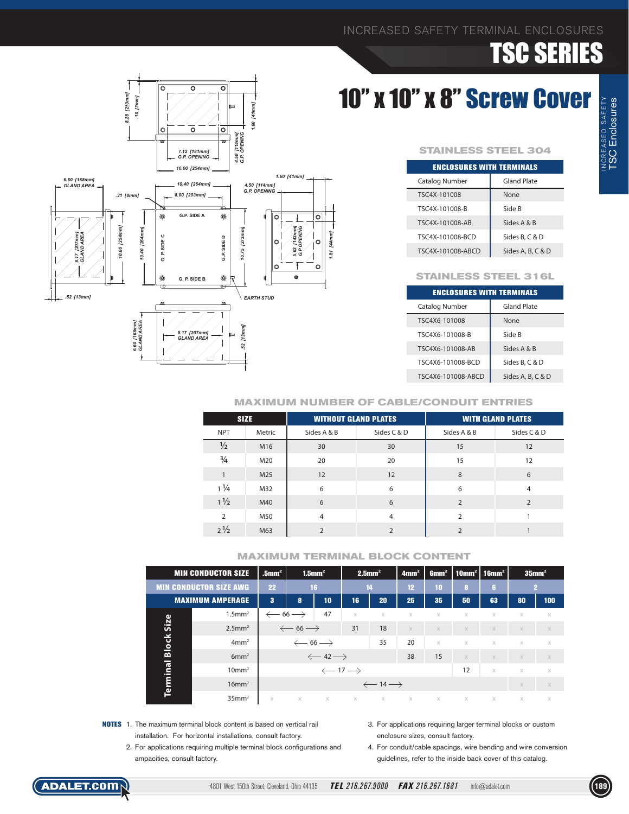# 10" x 10" x 8" Screw Cover

![](_page_7_Figure_3.jpeg)

| <b>ENCLOSURES WITH TERMINALS</b> |                    |  |  |  |  |  |
|----------------------------------|--------------------|--|--|--|--|--|
| Catalog Number                   | <b>Gland Plate</b> |  |  |  |  |  |
| TSC4X-101008                     | None               |  |  |  |  |  |
| TSC4X-101008-B                   | Side B             |  |  |  |  |  |
| TSC4X-101008-AB                  | Sides A & B        |  |  |  |  |  |
| TSC4X-101008-BCD                 | Sides B, C & D     |  |  |  |  |  |
| TSC4X-101008-ABCD                | Sides A, B, C & D  |  |  |  |  |  |

#### **STAINLESS STEEL 316L**

| <b>ENCLOSURES WITH TERMINALS</b> |                    |  |  |  |  |  |  |
|----------------------------------|--------------------|--|--|--|--|--|--|
| Catalog Number                   | <b>Gland Plate</b> |  |  |  |  |  |  |
| TSC4X6-101008                    | None               |  |  |  |  |  |  |
| TSC4X6-101008-B                  | Side B             |  |  |  |  |  |  |
| TSC4X6-101008-AB                 | Sides A & B        |  |  |  |  |  |  |
| TSC4X6-101008-BCD                | Sides B, C & D     |  |  |  |  |  |  |
| TSC4X6-101008-ABCD               | Sides A, B, C & D  |  |  |  |  |  |  |

![](_page_7_Figure_7.jpeg)

| <b>SIZE</b>    |        | <b>WITHOUT GLAND PLATES</b> |                | <b>WITH GLAND PLATES</b> |                |  |  |
|----------------|--------|-----------------------------|----------------|--------------------------|----------------|--|--|
| <b>NPT</b>     | Metric | Sides A & B                 | Sides C & D    | Sides A & B              | Sides C & D    |  |  |
| $\frac{1}{2}$  | M16    | 30                          | 30             | 15                       | 12             |  |  |
| $\frac{3}{4}$  | M20    | 20                          | 20             | 15                       | 12             |  |  |
| 1              | M25    | 12                          | 12             | 8                        | 6              |  |  |
| $1\frac{1}{4}$ | M32    | 6                           | 6              | 6                        | $\overline{4}$ |  |  |
| $1\frac{1}{2}$ | M40    | 6                           | 6              | $\overline{2}$           | $\overline{2}$ |  |  |
| $\overline{2}$ | M50    | $\overline{4}$              | $\overline{4}$ | $\overline{2}$           |                |  |  |
| $2\frac{1}{2}$ | M63    | $\overline{2}$              | $\overline{2}$ | $\overline{2}$           |                |  |  |

#### **MAXIMUM TERMINAL BLOCK CONTENT**

|              | <b>MIN CONDUCTOR SIZE</b>     | $1.5$ mm <sup>2</sup><br>$.5$ mm <sup>2</sup> |                               | $2.5$ mm <sup>2</sup>         |          | 4mm <sup>2</sup>              | 6mm <sup>2</sup> |          | 10mm <sup>2</sup>   16mm <sup>2</sup> |          | $35$ mm <sup>2</sup> |          |
|--------------|-------------------------------|-----------------------------------------------|-------------------------------|-------------------------------|----------|-------------------------------|------------------|----------|---------------------------------------|----------|----------------------|----------|
|              | <b>MIN CONDUCTOR SIZE AWG</b> | 22                                            |                               | 16                            | 14       |                               | 12 <sup>°</sup>  | 10       | 8                                     | ß.       |                      | 2        |
|              | <b>MAXIMUM AMPERAGE</b>       | 3                                             | 8                             | 10                            | 16       | 20                            | 25               | 35       | 50                                    | 63       | 80                   | 100      |
|              | $1.5$ mm <sup>2</sup>         | $\leftarrow$ 66 $\rightarrow$                 |                               | 47                            | $\times$ | $\times$                      | $\times$         | $\times$ | $\times$                              | X        | $\times$             | X        |
| Size         | $2.5$ mm <sup>2</sup>         |                                               | $\leftarrow$ 66 $\rightarrow$ |                               | 31       | 18                            | $\times$         | $\times$ | $\times$                              | $\times$ | $\times$             | $\times$ |
| <b>Block</b> | 4mm <sup>2</sup>              |                                               |                               | $\leftarrow$ 66 $\rightarrow$ |          | 35                            | 20               | $\times$ | $\times$                              | $\times$ | $\times$             | $\times$ |
|              | 6mm <sup>2</sup>              |                                               |                               | $\leftarrow$ 42 $\rightarrow$ |          |                               | 38               | 15       | $\times$                              | $\times$ | X                    | $\times$ |
|              | 10mm <sup>2</sup>             | $\leftarrow$ 17 $\rightarrow$                 |                               |                               |          |                               |                  |          | 12                                    | $\times$ | $\times$             | $\times$ |
| Terminal     | $16$ mm <sup>2</sup>          |                                               |                               |                               |          | $\leftarrow$ 14 $\rightarrow$ |                  |          |                                       |          | $\times$             | $\times$ |
|              | $35$ mm <sup>2</sup>          | X                                             | $\times$                      | $\times$                      | $\times$ | $\times$                      | $\times$         | X        | X                                     | X        | X                    | X        |

- **NOTES** 1. The maximum terminal block content is based on vertical rail installation. For horizontal installations, consult factory.
	- 2. For applications requiring multiple terminal block configurations and ampacities, consult factory.
- 3. For applications requiring larger terminal blocks or custom enclosure sizes, consult factory.

4. For conduit/cable spacings, wire bending and wire conversion guidelines, refer to the inside back cover of this catalog.

![](_page_7_Figure_15.jpeg)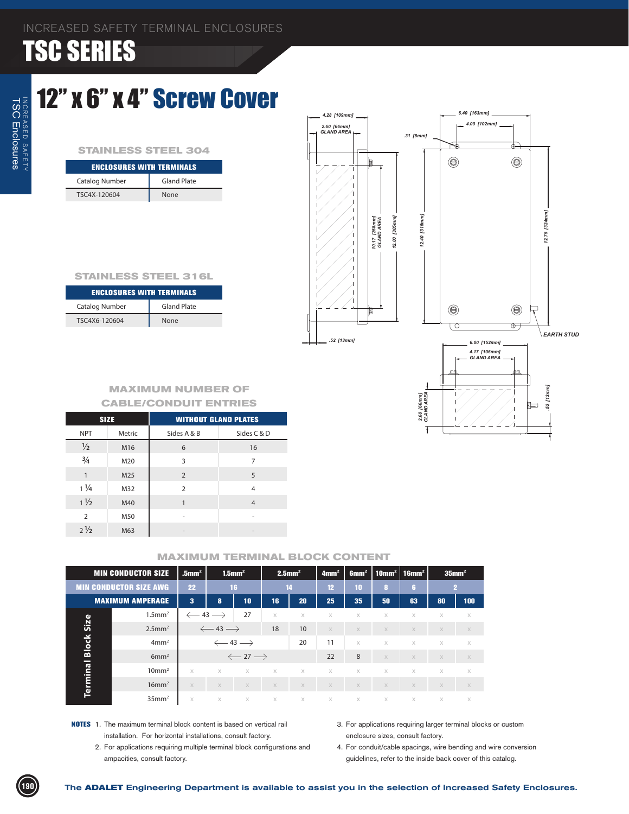### 12" x 6" x 4" Screw Cover

#### **STAINLESS STEEL 304**

| <b>ENCLOSURES WITH TERMINALS</b> |             |  |  |  |  |  |
|----------------------------------|-------------|--|--|--|--|--|
| Catalog Number                   | Gland Plate |  |  |  |  |  |
| TSC4X-120604                     | None        |  |  |  |  |  |

| 2.60 [66mm]<br>GLAND AREA |                                                        | .31 [8mm]                      | 4.00 [102mm]<br>¢                                    | ¢                                           |                                |
|---------------------------|--------------------------------------------------------|--------------------------------|------------------------------------------------------|---------------------------------------------|--------------------------------|
|                           | ı<br>12.00 [305mm]<br>10.17 [258mm]<br>GLAND AREA<br>t | 12.40 [315mm]                  | $\circlede$<br>$\circlede$                           | $\textcolor{blue}{\bigcirc}$<br>$\circlede$ | 12.75 [324mm]                  |
| .52 [13mm]                |                                                        | 2.60 [66mm]<br>GLAND AREA<br>Ŧ | ◯<br>6.00 [152mm]<br>4.17 [106mm]<br>GLAND AREA<br>皿 | $_{\oplus}$<br><u>rm</u><br>⊫               | <b>EARTH STUD</b><br>52 [13mm] |

 $\leftarrow$ <sup>4.28</sup> [109mm]  $\leftarrow$ 

*6.40 [163mm]*

#### **STAINLESS STEEL 316L**

| <b>ENCLOSURES WITH TERMINALS</b> |                    |  |  |  |  |  |  |
|----------------------------------|--------------------|--|--|--|--|--|--|
| Catalog Number                   | <b>Gland Plate</b> |  |  |  |  |  |  |
| TSC4X6-120604                    | None               |  |  |  |  |  |  |

#### **MAXIMUM NUMBER OF CABLE/CONDUIT ENTRIES**

| <b>SIZE</b>    |        | <b>WITHOUT GLAND PLATES</b> |                |  |  |  |  |
|----------------|--------|-----------------------------|----------------|--|--|--|--|
| <b>NPT</b>     | Metric | Sides A & B                 | Sides C & D    |  |  |  |  |
| $\frac{1}{2}$  | M16    | 6                           | 16             |  |  |  |  |
| $\frac{3}{4}$  | M20    | 3                           | 7              |  |  |  |  |
| $\mathbf{1}$   | M25    | 2                           | 5              |  |  |  |  |
| $1\frac{1}{4}$ | M32    | $\overline{2}$              | 4              |  |  |  |  |
| $1\frac{1}{2}$ | M40    |                             | $\overline{4}$ |  |  |  |  |
| $\overline{2}$ | M50    |                             | ۰              |  |  |  |  |
| $2\frac{1}{2}$ | M63    |                             | -              |  |  |  |  |

| <b>MIN CONDUCTOR SIZE</b> |                               | $.5$ mm <sup>2</sup>    |                               | $1.5$ mm <sup>2</sup>         |          | $2.5$ mm <sup>2</sup> | 4mm <sup>2</sup> | 6mm <sup>2</sup> |                       | $10mm2$   16mm <sup>2</sup> |          | 35mm <sup>2</sup> |
|---------------------------|-------------------------------|-------------------------|-------------------------------|-------------------------------|----------|-----------------------|------------------|------------------|-----------------------|-----------------------------|----------|-------------------|
|                           | <b>MIN CONDUCTOR SIZE AWG</b> | 22                      |                               | 16                            |          | 14                    |                  | 10               | 8                     | G.                          |          | 2                 |
|                           | <b>MAXIMUM AMPERAGE</b>       | $\overline{\mathbf{3}}$ | 8                             | 10 <sub>1</sub>               | 16       | 20                    | 25               | 35               | 50                    | 63                          | 80       | 100               |
|                           | $1.5$ mm <sup>2</sup>         |                         | $\leftarrow$ 43 $\rightarrow$ | 27                            | $\times$ | X                     | X                | X                | X                     | X                           | X        | $\times$          |
| Size                      | $2.5$ mm <sup>2</sup>         |                         | $\leftarrow$ 43 $\rightarrow$ |                               | 18       | 10                    | $\times$         | $\times$         | X                     | $\times$                    | $\times$ | $\times$          |
| <b>Block</b>              | 4mm <sup>2</sup>              |                         |                               | $\leftarrow$ 43 $\rightarrow$ |          | 20                    | 11               | X                | X                     | $\times$                    | $\times$ | $\times$          |
|                           | 6mm <sup>2</sup>              |                         |                               | $\leftarrow$ 27 $\rightarrow$ |          |                       | 22               | 8                | X                     | $\times$                    | $\times$ | $\times$          |
|                           | 10mm <sup>2</sup>             | $\times$                | $\times$                      | $\times$                      | $\times$ | $\times$              | $\times$         | X                | X                     | $\times$                    | $\times$ | $\times$          |
| Terminal                  | $16$ mm <sup>2</sup>          | $\times$                | $\times$                      | $\times$                      | $\times$ | $\mathbb X$           | $\times$         | $\mathbb X$      | $\chi$                | $\mathbb X$                 | $\times$ | $\mathbb X$       |
|                           | 35mm <sup>2</sup>             | $\times$                | $\chi$                        | $\times$                      | $\times$ | $\times$              | $\times$         | $\chi$           | $\boldsymbol{\times}$ | $\times$                    | $\times$ | $\times$          |

- **NOTES** 1. The maximum terminal block content is based on vertical rail installation. For horizontal installations, consult factory.
	- 2. For applications requiring multiple terminal block configurations and ampacities, consult factory.
- 3. For applications requiring larger terminal blocks or custom enclosure sizes, consult factory.
- 4. For conduit/cable spacings, wire bending and wire conversion guidelines, refer to the inside back cover of this catalog.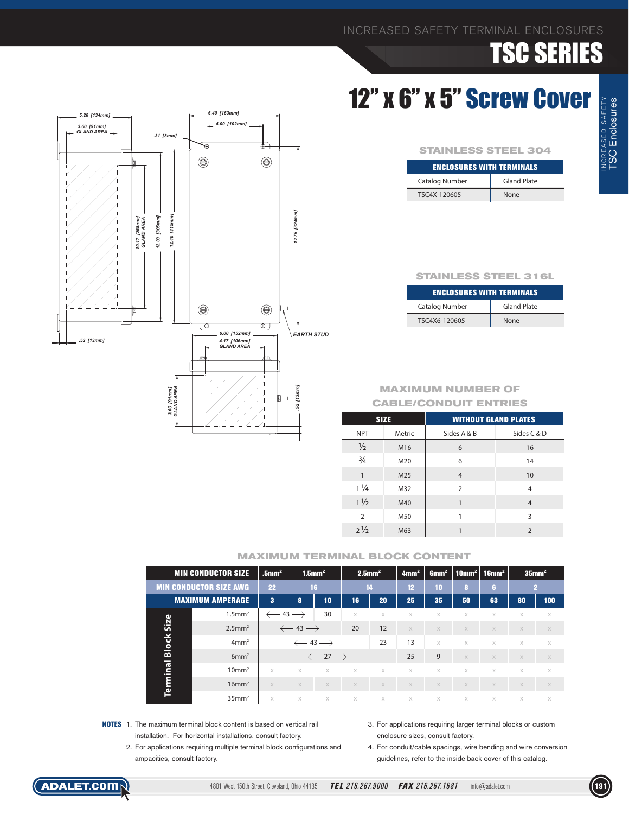### 12" x 6" x 5" Screw Cover

| <b>STAINLESS STEEL 304</b>       |                    |  |  |  |  |  |
|----------------------------------|--------------------|--|--|--|--|--|
| <b>ENCLOSURES WITH TERMINALS</b> |                    |  |  |  |  |  |
| <b>Catalog Number</b>            | <b>Gland Plate</b> |  |  |  |  |  |
| TSC4X-120605                     | None               |  |  |  |  |  |

#### **STAINLESS STEEL 316L**

| <b>ENCLOSURES WITH TERMINALS</b> |                    |  |  |  |  |  |  |
|----------------------------------|--------------------|--|--|--|--|--|--|
| <b>Catalog Number</b>            | <b>Gland Plate</b> |  |  |  |  |  |  |
| TSC4X6-120605                    | <b>None</b>        |  |  |  |  |  |  |

#### **MAXIMUM NUMBER OF CABLE/CONDUIT ENTRIES**

| <b>SIZE</b>    |        | <b>WITHOUT GLAND PLATES</b> |                |  |  |  |  |
|----------------|--------|-----------------------------|----------------|--|--|--|--|
| <b>NPT</b>     | Metric | Sides A & B                 | Sides C & D    |  |  |  |  |
| $\frac{1}{2}$  | M16    | 6                           | 16             |  |  |  |  |
| $\frac{3}{4}$  | M20    | 6                           | 14             |  |  |  |  |
| $\mathbf{1}$   | M25    | $\overline{4}$              | 10             |  |  |  |  |
| $1\frac{1}{4}$ | M32    | $\overline{2}$              | $\overline{4}$ |  |  |  |  |
| $1\frac{1}{2}$ | M40    | 1                           | $\overline{4}$ |  |  |  |  |
| $\overline{2}$ | M50    |                             | 3              |  |  |  |  |
| $2\frac{1}{2}$ | M63    |                             | $\overline{2}$ |  |  |  |  |

|              | <b>MIN CONDUCTOR SIZE</b>     |                               |                               | $1.5$ mm <sup>2</sup>         | $2.5$ mm <sup>2</sup> |          | 4mm <sup>2</sup> | 6mm <sup>2</sup> | $\mid$ 10mm <sup>2</sup>   16mm <sup>2</sup> |          | $35$ mm <sup>2</sup> |          |
|--------------|-------------------------------|-------------------------------|-------------------------------|-------------------------------|-----------------------|----------|------------------|------------------|----------------------------------------------|----------|----------------------|----------|
|              | <b>MIN CONDUCTOR SIZE AWG</b> | 22                            |                               | 16                            | 14                    |          | 12               | 10               | 8                                            | ١ß.      |                      | 2        |
|              | <b>MAXIMUM AMPERAGE</b>       |                               | 8                             | 10                            | 16                    | 20       | 25               | 35               | 50                                           | 63       | 80                   | 100      |
|              | $1.5$ mm <sup>2</sup>         | $\leftarrow$ 43 $\rightarrow$ |                               | 30                            | X                     | $\times$ | $\times$         | X                | X                                            | X        | X                    | X        |
| Size         | $2.5$ mm <sup>2</sup>         |                               | $\leftarrow$ 43 $\rightarrow$ |                               | 20                    | 12       | $\times$         | X                | X                                            | $\times$ | $\times$             | $\times$ |
| <b>Block</b> | 4mm <sup>2</sup>              |                               |                               | $\leftarrow$ 43 $\rightarrow$ |                       | 23       | 13               | $\times$         | X                                            | $\times$ | $\times$             | $\times$ |
|              | 6mm <sup>2</sup>              |                               |                               | $\leftarrow$ 27 $\rightarrow$ |                       |          | 25               | 9                | X                                            | $\times$ | $\times$             | X        |
| Terminal     | $10 \text{mm}^2$              | $\times$                      | $\times$                      | $\times$                      | $\times$              | $\times$ | $\times$         | $\times$         | X                                            | $\times$ | $\times$             | $\times$ |
|              | $16$ mm <sup>2</sup>          | $\times$                      | $\times$                      | $\times$                      | $\times$              | $\times$ | $\times$         | X                | X                                            | $\times$ | $\times$             | $\times$ |
|              | $35$ mm <sup>2</sup>          | $\times$                      | $\times$                      | $\times$                      | $\times$              | $\chi$   | $\times$         | $\times$         | $\times$                                     | $\times$ | $\times$             | $\times$ |

- **NOTES** 1. The maximum terminal block content is based on vertical rail installation. For horizontal installations, consult factory.
	- 2. For applications requiring multiple terminal block configurations and ampacities, consult factory.
- 3. For applications requiring larger terminal blocks or custom enclosure sizes, consult factory.
- 4. For conduit/cable spacings, wire bending and wire conversion guidelines, refer to the inside back cover of this catalog.

![](_page_9_Figure_15.jpeg)

![](_page_9_Picture_16.jpeg)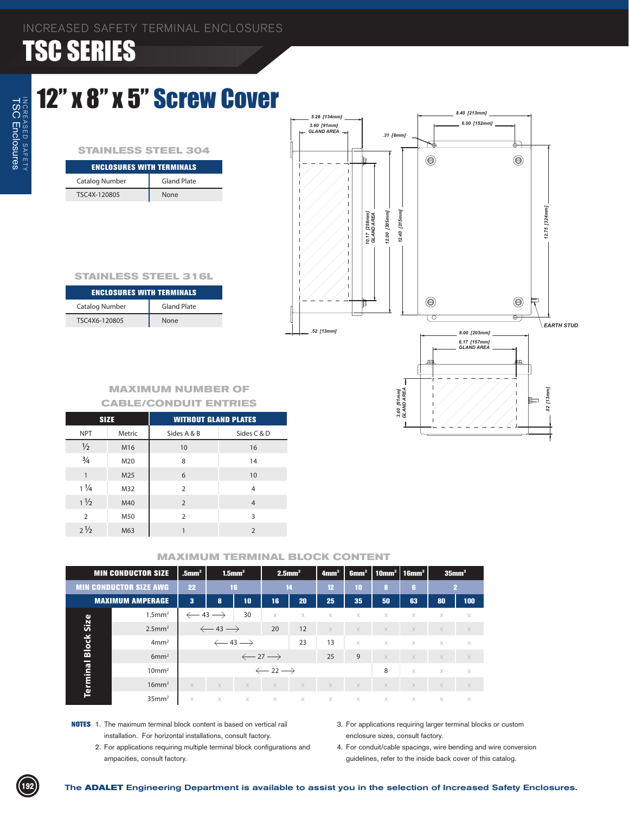### 12" x 8" x 5" Screw Cover

#### **STAINLESS STEEL 304**

| <b>ENCLOSURES WITH TERMINALS</b> |                    |  |  |  |  |  |
|----------------------------------|--------------------|--|--|--|--|--|
| Catalog Number                   | <b>Gland Plate</b> |  |  |  |  |  |
| TSC4X-120805                     | None               |  |  |  |  |  |

![](_page_10_Figure_5.jpeg)

*3.60 [91mm] GLAND AREA*

3.60 [91mm]<br>GLAND AREA

*.52 [13mm]*

.52 [13mm]

#### **STAINLESS STEEL 316L**

| <b>ENCLOSURES WITH TERMINALS</b> |                    |  |  |  |  |  |  |
|----------------------------------|--------------------|--|--|--|--|--|--|
| Catalog Number                   | <b>Gland Plate</b> |  |  |  |  |  |  |
| TSC4X6-120805                    | <b>None</b>        |  |  |  |  |  |  |

#### **MAXIMUM NUMBER OF CABLE/CONDUIT ENTRIES**

|                | <b>SIZE</b> | <b>WITHOUT GLAND PLATES</b> |                |  |  |  |  |
|----------------|-------------|-----------------------------|----------------|--|--|--|--|
| <b>NPT</b>     | Metric      | Sides A & B                 | Sides C & D    |  |  |  |  |
| $\frac{1}{2}$  | M16         | 10                          | 16             |  |  |  |  |
| $\frac{3}{4}$  | M20         | 8                           | 14             |  |  |  |  |
| $\mathbf{1}$   | M25         | 6                           | 10             |  |  |  |  |
| $1\frac{1}{4}$ | M32         | $\overline{2}$              | 4              |  |  |  |  |
| $1\frac{1}{2}$ | M40         | $\overline{2}$              | $\overline{4}$ |  |  |  |  |
| $\overline{2}$ | M50         | $\overline{2}$              | ζ              |  |  |  |  |
| $2\frac{1}{2}$ | M63         | 1                           | $\overline{2}$ |  |  |  |  |
|                |             |                             |                |  |  |  |  |

|              | <b>MIN CONDUCTOR SIZE</b>     | $1.5$ mm <sup>2</sup><br>$.5$ mm <sup>2</sup> |                               |                 |                               | $2.5$ mm <sup>2</sup> | 4mm <sup>2</sup> | 6mm <sup>2</sup> |                       | $10mm2$   16mm <sup>2</sup> |          | $35$ mm <sup>2</sup> |
|--------------|-------------------------------|-----------------------------------------------|-------------------------------|-----------------|-------------------------------|-----------------------|------------------|------------------|-----------------------|-----------------------------|----------|----------------------|
|              | <b>MIN CONDUCTOR SIZE AWG</b> | 22                                            |                               | 16              |                               | 14                    | 12 <sup>2</sup>  | 10               | 8                     | G.                          |          | 2                    |
|              | <b>MAXIMUM AMPERAGE</b>       | $\overline{\mathbf{3}}$                       | 8                             | 10 <sub>1</sub> | 16                            | 20                    | 25               | 35               | 50                    | 63                          | 80       | 100                  |
|              | $1.5$ mm <sup>2</sup>         | $\leftarrow$ 43 $\rightarrow$                 |                               | 30              | $\times$                      | X                     | X                | X                | X                     | X                           | X        | $\times$             |
| Size         | $2.5$ mm <sup>2</sup>         |                                               | $\leftarrow$ 43 $\rightarrow$ |                 |                               | 12                    | $\times$         | $\times$         | $\times$              | $\times$                    | $\times$ | $\times$             |
| <b>Block</b> | 4mm <sup>2</sup>              |                                               | $\leftarrow$ 43 $\rightarrow$ |                 |                               | 23                    | 13               | X                | X                     | $\times$                    | $\times$ | $\times$             |
|              | 6mm <sup>2</sup>              |                                               | $\leftarrow$ 27 $\rightarrow$ |                 |                               |                       | 25               | 9                | $\times$              | $\times$                    | $\times$ | $\times$             |
|              | 10mm <sup>2</sup>             |                                               |                               |                 | $\leftarrow$ 22 $\rightarrow$ |                       |                  |                  | 8                     | $\times$                    | $\times$ | $\times$             |
| Terminal     | $16$ mm <sup>2</sup>          | $\times$                                      | $\times$                      | $\times$        | $\times$                      | $\times$              | $\times$         | $\mathbb X$      | $\mathbb X$           | $\mathbb X$                 | $\times$ | $\mathbb X$          |
|              | 35mm <sup>2</sup>             | X                                             | $\boldsymbol{\times}$         | $\times$        | $\chi$                        | $\times$              | $\times$         | $\chi$           | $\boldsymbol{\times}$ | $\times$                    | $\times$ | $\times$             |

- **NOTES** 1. The maximum terminal block content is based on vertical rail installation. For horizontal installations, consult factory.
	- 2. For applications requiring multiple terminal block configurations and ampacities, consult factory.
- 3. For applications requiring larger terminal blocks or custom enclosure sizes, consult factory.
- 4. For conduit/cable spacings, wire bending and wire conversion guidelines, refer to the inside back cover of this catalog.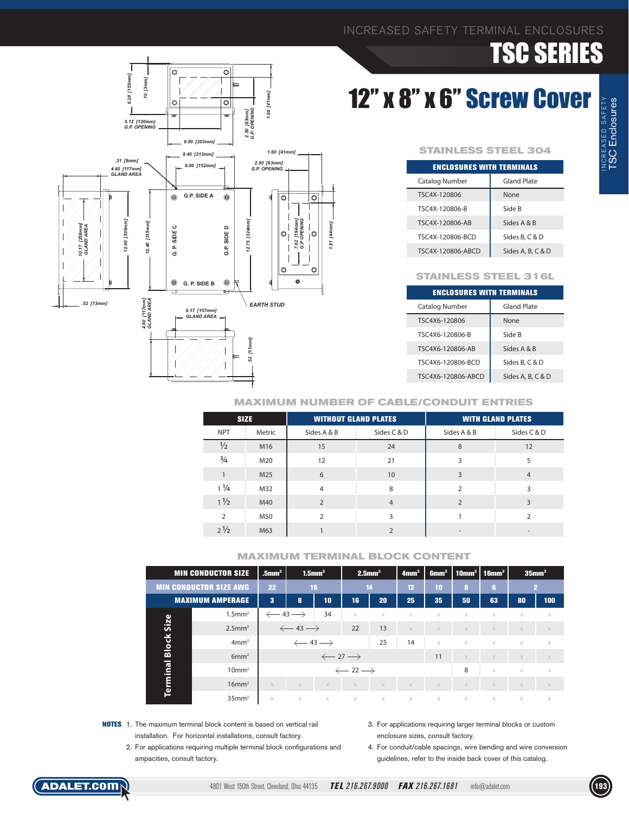### INCREASED SAFETY TERMINAL ENCLOSURES

# TSC SERIES

## 12" x 8" x 6" Screw Cover

#### **STAINLESS STEEL 304**

| <b>ENCLOSURES WITH TERMINALS</b> |                    |  |  |  |  |  |  |
|----------------------------------|--------------------|--|--|--|--|--|--|
| Catalog Number                   | <b>Gland Plate</b> |  |  |  |  |  |  |
| TSC4X-120806                     | None               |  |  |  |  |  |  |
| TSC4X-120806-B                   | Side B             |  |  |  |  |  |  |
| TSC4X-120806-AB                  | Sides A & B        |  |  |  |  |  |  |
| TSC4X-120806-BCD                 | Sides B, C & D     |  |  |  |  |  |  |
| TSC4X-120806-ABCD                | Sides A, B, C & D  |  |  |  |  |  |  |

![](_page_11_Figure_5.jpeg)

| <b>ENCLOSURES WITH TERMINALS</b> |                   |  |  |  |  |  |  |  |
|----------------------------------|-------------------|--|--|--|--|--|--|--|
| Catalog Number                   | Gland Plate       |  |  |  |  |  |  |  |
| TSC4X6-120806                    | None              |  |  |  |  |  |  |  |
| TSC4X6-120806-B                  | Side B            |  |  |  |  |  |  |  |
| TSC4X6-120806-AB                 | Sides A & B       |  |  |  |  |  |  |  |
| TSC4X6-120806-BCD                | Sides B. C & D    |  |  |  |  |  |  |  |
| TSC4X6-120806-ABCD               | Sides A, B, C & D |  |  |  |  |  |  |  |

![](_page_11_Figure_7.jpeg)

*.10 [3mm] 6.28 [159mm]*

6.28 [159mm] 10 [3mm]  $\overline{\circ}$ 

 $\circ$ 

 $\overline{\circ}$ 

 $| \circ |$ 

#### **MAXIMUM NUMBER OF CABLE/CONDUIT ENTRIES**

| <b>SIZE</b>    |        | <b>WITHOUT GLAND PLATES</b> |                | <b>WITH GLAND PLATES</b> |                          |  |  |
|----------------|--------|-----------------------------|----------------|--------------------------|--------------------------|--|--|
| <b>NPT</b>     | Metric | Sides A & B                 | Sides C & D    | Sides A & B              | Sides C & D              |  |  |
| $\frac{1}{2}$  | M16    | 15                          | 24             | 8                        | 12                       |  |  |
| $\frac{3}{4}$  | M20    | 12                          | 21             | 3                        | 5                        |  |  |
| 1              | M25    | 6                           | 10             | 3                        | $\overline{4}$           |  |  |
| $1\frac{1}{4}$ | M32    | $\overline{4}$              | 8              | $\mathfrak{p}$           | 3                        |  |  |
| $1\frac{1}{2}$ | M40    | $\overline{2}$              | $\overline{4}$ | $\overline{2}$           | 3                        |  |  |
| $\overline{2}$ | M50    | $\overline{2}$              | 3              |                          | $\mathfrak{D}$           |  |  |
| $2\frac{1}{2}$ | M63    |                             | $\overline{2}$ | $\overline{\phantom{a}}$ | $\overline{\phantom{a}}$ |  |  |

|              | <b>MIN CONDUCTOR SIZE</b>     | $.5$ mm <sup>2</sup>          | $1.5$ mm <sup>2</sup>         |          |                               | $2.5$ mm <sup>2</sup> | 4mm <sup>2</sup> | 6mm <sup>2</sup> |          | 10mm <sup>2</sup>   16mm <sup>2</sup> |          | $35$ mm <sup>2</sup> |
|--------------|-------------------------------|-------------------------------|-------------------------------|----------|-------------------------------|-----------------------|------------------|------------------|----------|---------------------------------------|----------|----------------------|
|              | <b>MIN CONDUCTOR SIZE AWG</b> | 22                            |                               | 16       |                               | 14                    |                  | 10               | $\bf{8}$ | G.                                    |          | 2                    |
|              | <b>MAXIMUM AMPERAGE</b>       | 3                             | 8                             | 10       | 16                            | 20                    | 25               | 35               | 50       | 63                                    | 80       | 100                  |
|              | $1.5$ mm <sup>2</sup>         | $\leftarrow$ 43 $\rightarrow$ |                               | 34       | $\times$                      | X                     | $\times$         | $\times$         | $\times$ | X                                     | $\times$ | X                    |
| Size         | $2.5$ mm <sup>2</sup>         |                               | $\leftarrow$ 43 $\rightarrow$ |          | 22                            | 13                    | $\times$         | $\times$         | $\times$ | $\times$                              | $\times$ | $\times$             |
| <b>Block</b> | 4mm <sup>2</sup>              |                               | $\leftarrow$ 43 $\rightarrow$ |          |                               | 25                    | 14               | $\times$         | $\times$ | $\times$                              | $\times$ | $\times$             |
|              | 6mm <sup>2</sup>              |                               | $\leftarrow$ 27 $\rightarrow$ |          |                               |                       |                  | 11               | $\times$ | $\times$                              | $\times$ | $\times$             |
|              | $10 \text{mm}^2$              |                               |                               |          | $\leftarrow$ 22 $\rightarrow$ |                       |                  |                  | 8        | $\times$                              | $\times$ | $\times$             |
| Terminal     | $16$ mm <sup>2</sup>          | X                             | $\times$                      | $\times$ | $\times$                      | $\times$              | X                | $\times$         | $\times$ | $\times$                              | $\times$ | $\times$             |
|              | $35$ mm <sup>2</sup>          | $\times$                      | $\times$                      | $\times$ | $\times$                      | X                     | $\times$         | $\times$         | $\times$ | X                                     | $\times$ | $\times$             |

- **NOTES** 1. The maximum terminal block content is based on vertical rail installation. For horizontal installations, consult factory.
	- 2. For applications requiring multiple terminal block configurations and ampacities, consult factory.
- 3. For applications requiring larger terminal blocks or custom enclosure sizes, consult factory.
- 4. For conduit/cable spacings, wire bending and wire conversion guidelines, refer to the inside back cover of this catalog.

![](_page_11_Picture_17.jpeg)

![](_page_11_Picture_19.jpeg)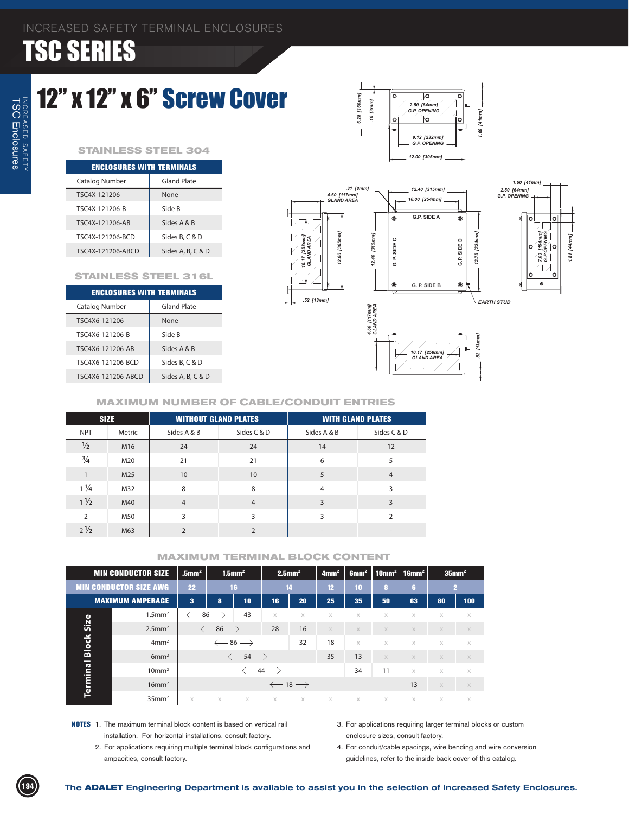### 12" x 12" x 6" Screw Cover

#### **STAINLESS STEEL 304**

| <b>ENCLOSURES WITH TERMINALS</b> |                   |  |  |  |  |  |  |
|----------------------------------|-------------------|--|--|--|--|--|--|
| Catalog Number                   | Gland Plate       |  |  |  |  |  |  |
| TSC4X-121206                     | None              |  |  |  |  |  |  |
| TSC4X-121206-B                   | Side B            |  |  |  |  |  |  |
| TSC4X-121206-AR                  | Sides A & B       |  |  |  |  |  |  |
| TSC4X-121206-BCD                 | Sides B, C & D    |  |  |  |  |  |  |
| TSC4X-121206-ABCD                | Sides A, B, C & D |  |  |  |  |  |  |

#### **STAINLESS STEEL 316L**

| <b>ENCLOSURES WITH TERMINALS</b> |                    |  |  |  |  |  |  |  |
|----------------------------------|--------------------|--|--|--|--|--|--|--|
| Catalog Number                   | <b>Gland Plate</b> |  |  |  |  |  |  |  |
| TSC4X6-121206                    | None               |  |  |  |  |  |  |  |
| TSC4X6-121206-B                  | Side B             |  |  |  |  |  |  |  |
| TSC4X6-121206-AR                 | Sides A & B        |  |  |  |  |  |  |  |
| TSC4X6-121206-BCD                | Sides B, C & D     |  |  |  |  |  |  |  |
| TSC4X6-121206-ABCD               | Sides A, B, C & D  |  |  |  |  |  |  |  |
|                                  |                    |  |  |  |  |  |  |  |

![](_page_12_Figure_7.jpeg)

 $\frac{1}{2}$ 

 $\overline{\circ}$ 

*1.81 [44mm]*

1.81

#### **MAXIMUM NUMBER OF CABLE/CONDUIT ENTRIES**

| <b>SIZE</b>    |        | <b>WITHOUT GLAND PLATES</b> |                | <b>WITH GLAND PLATES</b> |                |  |  |
|----------------|--------|-----------------------------|----------------|--------------------------|----------------|--|--|
| <b>NPT</b>     | Metric | Sides A & B                 | Sides C & D    | Sides A & B              | Sides C & D    |  |  |
| $\frac{1}{2}$  | M16    | 24                          | 24             | 14                       | 12             |  |  |
| $\frac{3}{4}$  | M20    | 21                          | 21             | 6                        | 5              |  |  |
|                | M25    | 10                          | 10             | 5                        | $\overline{4}$ |  |  |
| $1\frac{1}{4}$ | M32    | 8                           | 8              | $\overline{4}$           | 3              |  |  |
| $1\frac{1}{2}$ | M40    | $\overline{4}$              | $\overline{4}$ | 3                        | 3              |  |  |
| $\overline{2}$ | M50    | 3                           | 3              | 3                        | $\overline{2}$ |  |  |
| $2\frac{1}{2}$ | M63    | $\overline{2}$              | $\mathcal{P}$  | $\overline{\phantom{a}}$ |                |  |  |

|              | <b>MIN CONDUCTOR SIZE</b>     | $1.5$ mm <sup>2</sup><br>$.5$ mm <sup>2</sup> |                               | $2.5$ mm <sup>2</sup> |          | 4mm <sup>2</sup>              | 6mm <sup>2</sup> | $\mid$ 10mm <sup>2</sup> $\mid$ 16mm <sup>2</sup> |          |          | 35mm <sup>2</sup> |              |
|--------------|-------------------------------|-----------------------------------------------|-------------------------------|-----------------------|----------|-------------------------------|------------------|---------------------------------------------------|----------|----------|-------------------|--------------|
|              | <b>MIN CONDUCTOR SIZE AWG</b> | 22                                            |                               | 16                    |          | 14                            | 12 <sup>2</sup>  | 10                                                | 8        | 6        |                   | $\mathbf{2}$ |
|              | <b>MAXIMUM AMPERAGE</b>       | 3                                             | 8                             | 10                    | 16       | 20                            | 25               | 35                                                | 50       | 63       | 80                | 100          |
|              | $1.5$ mm <sup>2</sup>         |                                               | $\leftarrow$ 86 $\rightarrow$ | 43                    | $\times$ | $\times$                      | $\times$         | $\times$                                          | X        | $\times$ | $\times$          | $\times$     |
| Size         | $2.5$ mm <sup>2</sup>         |                                               | $\leftarrow$ 86 $\rightarrow$ |                       | 28       | 16                            | $\times$         | $\times$                                          | $\times$ | $\times$ | $\times$          | $\mathbb X$  |
| <b>Block</b> | 4mm <sup>2</sup>              |                                               | $\leftarrow$ 86 $\rightarrow$ |                       |          | 32                            | 18               | $\times$                                          | $\times$ | $\times$ | $\times$          | $\times$     |
|              | 6mm <sup>2</sup>              |                                               | $\leftarrow$ 54 $\rightarrow$ |                       |          |                               | 35               | 13                                                | $\times$ | $\times$ | $\times$          | $\times$     |
|              | 10mm <sup>2</sup>             |                                               | $\leftarrow$ 44 $\rightarrow$ |                       |          |                               |                  | 34                                                | 11       | $\times$ | $\times$          | $\times$     |
| Terminal     | $16$ mm <sup>2</sup>          |                                               |                               |                       |          | $\leftarrow$ 18 $\rightarrow$ |                  |                                                   |          | 13       | $\times$          | $\times$     |
|              | 35mm <sup>2</sup>             | $\times$                                      | $\times$                      |                       | $X$ $X$  | X                             | $\times$         | $\times$                                          | $\chi$   | $\times$ | $\times$          | $\times$     |

- **NOTES** 1. The maximum terminal block content is based on vertical rail installation. For horizontal installations, consult factory.
	- 2. For applications requiring multiple terminal block configurations and ampacities, consult factory.
- 3. For applications requiring larger terminal blocks or custom enclosure sizes, consult factory.
- 4. For conduit/cable spacings, wire bending and wire conversion guidelines, refer to the inside back cover of this catalog.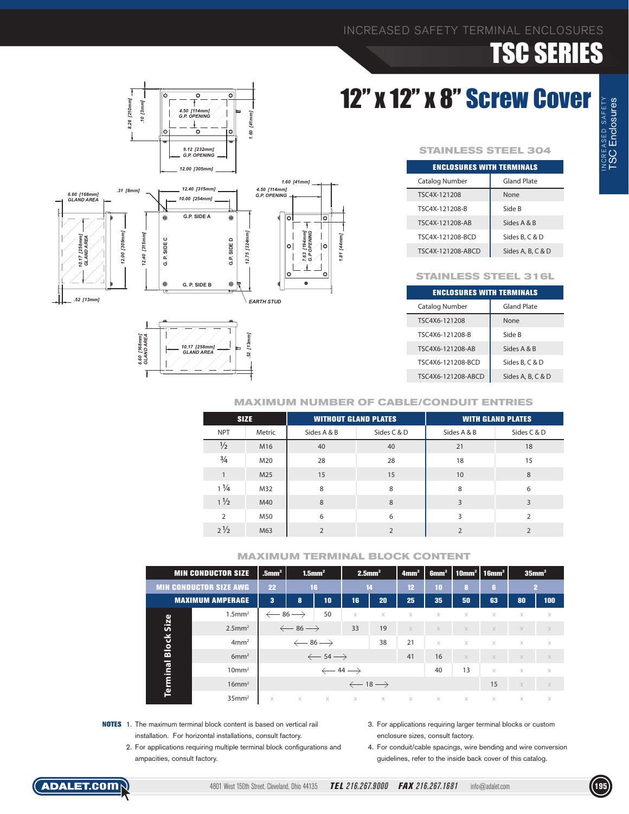# 12" x 12" x 8" Screw Cover

![](_page_13_Figure_3.jpeg)

![](_page_13_Figure_4.jpeg)

![](_page_13_Figure_5.jpeg)

#### **STAINLESS STEEL 304**

| <b>ENCLOSURES WITH TERMINALS</b> |                    |  |  |  |  |  |  |
|----------------------------------|--------------------|--|--|--|--|--|--|
| Catalog Number                   | <b>Gland Plate</b> |  |  |  |  |  |  |
| TSC4X-121208                     | None               |  |  |  |  |  |  |
| TSC4X-121208-B                   | Side B             |  |  |  |  |  |  |
| TSC4X-121208-AB                  | Sides A & B        |  |  |  |  |  |  |
| TSC4X-121208-BCD                 | Sides B. C & D     |  |  |  |  |  |  |
| TSC4X-121208-ABCD                | Sides A, B, C & D  |  |  |  |  |  |  |

#### **STAINLESS STEEL 316L**

| <b>ENCLOSURES WITH TERMINALS</b> |                   |  |  |  |  |  |  |  |
|----------------------------------|-------------------|--|--|--|--|--|--|--|
| Catalog Number                   | Gland Plate       |  |  |  |  |  |  |  |
| TSC4X6-121208                    | None              |  |  |  |  |  |  |  |
| TSC4X6-121208-B                  | Side B            |  |  |  |  |  |  |  |
| TSC4X6-121208-AB                 | Sides A & B       |  |  |  |  |  |  |  |
| TSC4X6-121208-BCD                | Sides B. C & D    |  |  |  |  |  |  |  |
| TSC4X6-121208-ABCD               | Sides A, B, C & D |  |  |  |  |  |  |  |

#### **MAXIMUM NUMBER OF CABLE/CONDUIT ENTRIES**

| <b>SIZE</b>    |        | <b>WITHOUT GLAND PLATES</b> |                | <b>WITH GLAND PLATES</b> |                |  |
|----------------|--------|-----------------------------|----------------|--------------------------|----------------|--|
| <b>NPT</b>     | Metric | Sides A & B                 | Sides C & D    | Sides A & B              | Sides C & D    |  |
| $\frac{1}{2}$  | M16    | 40                          | 40             | 21                       | 18             |  |
| $\frac{3}{4}$  | M20    | 28                          | 28             | 18                       | 15             |  |
| $\mathbf{1}$   | M25    | 15                          | 15             | 10                       | 8              |  |
| $1\frac{1}{4}$ | M32    | 8                           | 8              | 8                        | 6              |  |
| $1\frac{1}{2}$ | M40    | 8                           | 8              | 3                        | 3              |  |
| $\overline{2}$ | M50    | 6                           | 6              | 3                        | $\mathcal{P}$  |  |
| $2\frac{1}{2}$ | M63    | $\overline{2}$              | $\overline{2}$ | $\overline{2}$           | $\overline{2}$ |  |

|              | <b>MIN CONDUCTOR SIZE</b>     | $.5$ mm <sup>2</sup>          | $1.5$ mm <sup>2</sup>         |                               | $2.5$ mm <sup>2</sup>         |          | 4mm <sup>2</sup> | 6mm <sup>2</sup> |          | 10mm <sup>2</sup>   16mm <sup>2</sup> |          | $35$ mm <sup>2</sup> |
|--------------|-------------------------------|-------------------------------|-------------------------------|-------------------------------|-------------------------------|----------|------------------|------------------|----------|---------------------------------------|----------|----------------------|
|              | <b>MIN CONDUCTOR SIZE AWG</b> | 22                            | 16                            |                               |                               | 14       | 12 <sup>2</sup>  | 10               | $\bf{8}$ | 6.                                    |          | 2                    |
|              | <b>MAXIMUM AMPERAGE</b>       | 3                             | 10<br>8                       |                               | 16                            | 20       | 25               | 35               | 50       | 63                                    | 80       | 100                  |
|              | $1.5$ mm <sup>2</sup>         | $\leftarrow$ 86 $\rightarrow$ |                               | 50                            | $\times$                      | $\times$ | $\times$         | $\times$         | $\times$ | X                                     | $\times$ | $\times$             |
| Size         | $2.5$ mm <sup>2</sup>         |                               | $\leftarrow$ 86 $\rightarrow$ |                               | 33                            | 19       | $\times$         | $\times$         | $\times$ | $\times$                              | X        | $\times$             |
| <b>Block</b> | 4mm <sup>2</sup>              |                               |                               | $\leftarrow$ 86 $\rightarrow$ |                               | 38       | 21               | $\times$         | $\times$ | $\times$                              | $\times$ | $\times$             |
|              | 6mm <sup>2</sup>              |                               |                               | $\leftarrow$ 54 $\rightarrow$ |                               |          | 41               | 16               | $\times$ | $\times$                              | $\times$ | $\times$             |
| Terminal     | $10 \text{mm}^2$              |                               |                               |                               | $\leftarrow$ 44 $\rightarrow$ |          |                  | 40               | 13       | $\times$                              | $\times$ | $\times$             |
|              | $16$ mm <sup>2</sup>          |                               |                               |                               | $\leftarrow$ 18 $\rightarrow$ |          |                  |                  |          | 15                                    | $\times$ | $\times$             |
|              | $35$ mm <sup>2</sup>          | X                             | $\times$                      | X                             | X                             | X        | $\times$         | X                | X        | X                                     | $\times$ | $\times$             |

- **NOTES** 1. The maximum terminal block content is based on vertical rail installation. For horizontal installations, consult factory.
	- 2. For applications requiring multiple terminal block configurations and ampacities, consult factory.
- 3. For applications requiring larger terminal blocks or custom enclosure sizes, consult factory.
- 4. For conduit/cable spacings, wire bending and wire conversion guidelines, refer to the inside back cover of this catalog.

![](_page_13_Picture_19.jpeg)

![](_page_13_Picture_21.jpeg)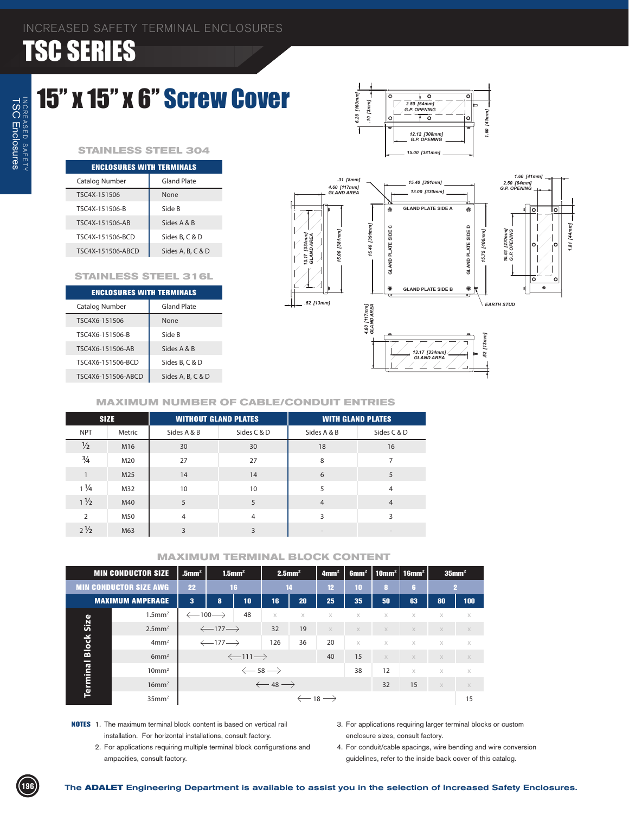### 15" x 15" x 6" Screw Cover

#### **STAINLESS STEEL 304**

| <b>ENCLOSURES WITH TERMINALS</b> |                    |  |  |  |  |  |  |
|----------------------------------|--------------------|--|--|--|--|--|--|
| Catalog Number                   | <b>Gland Plate</b> |  |  |  |  |  |  |
| TSC4X-151506                     | None               |  |  |  |  |  |  |
| TSC4X-151506-B                   | Side B             |  |  |  |  |  |  |
| TSC4X-151506-AB                  | Sides A & B        |  |  |  |  |  |  |
| TSC4X-151506-BCD                 | Sides B, C & D     |  |  |  |  |  |  |
| TSC4X-151506-ABCD                | Sides A, B, C & D  |  |  |  |  |  |  |

#### **STAINLESS STEEL 316L**

| <b>ENCLOSURES WITH TERMINALS</b> |                    |  |  |  |  |  |  |  |
|----------------------------------|--------------------|--|--|--|--|--|--|--|
| Catalog Number                   | <b>Gland Plate</b> |  |  |  |  |  |  |  |
| TSC4X6-151506                    | None               |  |  |  |  |  |  |  |
| TSC4X6-151506-B                  | Side B             |  |  |  |  |  |  |  |
| TSC4X6-151506-AB                 | Sides A & B        |  |  |  |  |  |  |  |
| TSC4X6-151506-BCD                | Sides B, C & D     |  |  |  |  |  |  |  |
| TSC4X6-151506-ABCD               | Sides A, B, C & D  |  |  |  |  |  |  |  |
|                                  |                    |  |  |  |  |  |  |  |

![](_page_14_Figure_7.jpeg)

*2.50 [64mm] G.P. OPENING*

 $\overline{V}$ 

Ŧ

 $[3mm] % \begin{minipage}[b]{0.4\linewidth} \centering \includegraphics[width=\textwidth]{figs/fig_4.pdf} \caption{The 3000 of the 3000 of the 3000 of the 3000 of the 3000 of the 3000 of the 3000 of the 3000 of the 3000 of the 3000 of the 3000 of the 3000 of the 3000 of the 3000 of the 3000 of the 3000 of the 3000 of the 3000 of the 3000 of the 3000 of the 3000 of the 3000 of the 3000 of the 3000 of the 3000 of the$ 

#### **MAXIMUM NUMBER OF CABLE/CONDUIT ENTRIES**

|                | <b>SIZE</b> | <b>WITHOUT GLAND PLATES</b> |                |                          | <b>WITH GLAND PLATES</b> |
|----------------|-------------|-----------------------------|----------------|--------------------------|--------------------------|
| <b>NPT</b>     | Metric      | Sides A & B                 | Sides C & D    | Sides A & B              | Sides C & D              |
| $\frac{1}{2}$  | M16         | 30                          | 30             | 18                       | 16                       |
| $\frac{3}{4}$  | M20         | 27                          | 27             | 8                        | 7                        |
|                | M25         | 14                          | 14             | 6                        | 5                        |
| $1\frac{1}{4}$ | M32         | 10                          | 10             | 5                        | $\overline{4}$           |
| $1\frac{1}{2}$ | M40         | 5                           | 5              | $\overline{4}$           | $\overline{4}$           |
| $\overline{2}$ | M50         | $\overline{4}$              | $\overline{4}$ | 3                        | 3                        |
| $2\frac{1}{2}$ | M63         | 3                           | 3              | $\overline{\phantom{a}}$ |                          |

|              | <b>MIN CONDUCTOR SIZE</b>     | $.5$ mm <sup>2</sup>           | $1.5$ mm <sup>2</sup>          |                                | $2.5$ mm <sup>2</sup>         |                               | 4mm <sup>2</sup> | 6mm <sup>2</sup> | 10mm²   16mm² |          |             | 35mm <sup>2</sup> |  |
|--------------|-------------------------------|--------------------------------|--------------------------------|--------------------------------|-------------------------------|-------------------------------|------------------|------------------|---------------|----------|-------------|-------------------|--|
|              | <b>MIN CONDUCTOR SIZE AWG</b> | 22                             |                                | 16                             |                               | 14                            | 12               | 10               | 8             | G.       |             | $\mathbf{2}$      |  |
|              | <b>MAXIMUM AMPERAGE</b>       | $\bf{3}$                       | 10<br>8                        |                                | 16'                           | 20                            | 25               | 35               | 50            | 63       | 80          | 100               |  |
|              | $1.5$ mm <sup>2</sup>         | $\leftarrow$ 100 $\rightarrow$ |                                | 48                             | $\times$                      | $\times$                      | X                | X                | X             | $\times$ | $\times$    | X                 |  |
| Size         | $2.5$ mm <sup>2</sup>         |                                | $\leftarrow$ 177 $\rightarrow$ |                                | 32                            | 19                            | $\times$         | $\times$         | $\times$      | $\times$ | $\times$    | $\times$          |  |
| <b>Block</b> | 4mm <sup>2</sup>              |                                | $\leftarrow$ 177 $\rightarrow$ |                                | 126                           | 36                            | 20               | $\times$         | X             | $\times$ | $\times$    | $\times$          |  |
|              | 6mm <sup>2</sup>              |                                |                                | $\leftarrow$ 111 $\rightarrow$ |                               |                               | 40               | 15               | $\times$      | $\times$ | $\times$    | $\times$          |  |
|              | 10mm <sup>2</sup>             |                                |                                |                                | $\leftarrow$ 58 $\rightarrow$ |                               |                  | 38               | 12            | $\times$ | $\times$    | $\times$          |  |
| Terminal     | $16$ mm <sup>2</sup>          |                                |                                |                                | $\leftarrow$ 48 $\rightarrow$ |                               |                  |                  | 32            | 15       | $\mathbb X$ | $\mathbb X$       |  |
|              | 35mm <sup>2</sup>             |                                |                                |                                |                               | $\leftarrow$ 18 $\rightarrow$ |                  |                  |               |          |             | 15                |  |

- **NOTES** 1. The maximum terminal block content is based on vertical rail installation. For horizontal installations, consult factory.
	- 2. For applications requiring multiple terminal block configurations and ampacities, consult factory.
- 3. For applications requiring larger terminal blocks or custom enclosure sizes, consult factory.
- 4. For conduit/cable spacings, wire bending and wire conversion guidelines, refer to the inside back cover of this catalog.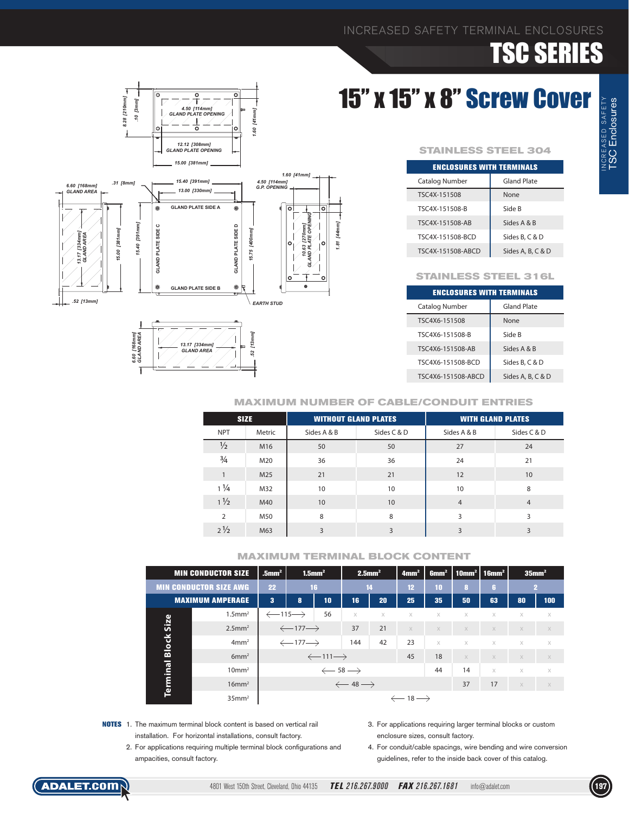# 15" x 15" x 8" Screw Cover

![](_page_15_Figure_3.jpeg)

| ENCLOSURES WITH TERMINALS |                    |  |  |  |  |  |  |  |
|---------------------------|--------------------|--|--|--|--|--|--|--|
| Catalog Number            | <b>Gland Plate</b> |  |  |  |  |  |  |  |
| TSC4X-151508              | None               |  |  |  |  |  |  |  |
| TSC4X-151508-B            | Side B             |  |  |  |  |  |  |  |
| TSC4X-151508-AB           | Sides A & B        |  |  |  |  |  |  |  |
| TSC4X-151508-BCD          | Sides B, C & D     |  |  |  |  |  |  |  |
| TSC4X-151508-ABCD         | Sides A, B, C & D  |  |  |  |  |  |  |  |

#### **STAINLESS STEEL 316L**

| <b>ENCLOSURES WITH TERMINALS</b> |                   |  |  |  |  |  |  |
|----------------------------------|-------------------|--|--|--|--|--|--|
| Catalog Number                   | Gland Plate       |  |  |  |  |  |  |
| TSC4X6-151508                    | None              |  |  |  |  |  |  |
| TSC4X6-151508-B                  | Side B            |  |  |  |  |  |  |
| TSC4X6-151508-AB                 | Sides A & B       |  |  |  |  |  |  |
| TSC4X6-151508-BCD                | Sides B, C & D    |  |  |  |  |  |  |
| TSC4X6-151508-ABCD               | Sides A, B, C & D |  |  |  |  |  |  |

![](_page_15_Figure_7.jpeg)

![](_page_15_Figure_8.jpeg)

#### **MAXIMUM NUMBER OF CABLE/CONDUIT ENTRIES**

| <b>SIZE</b>    |        | <b>WITHOUT GLAND PLATES</b> |                  |                | <b>WITH GLAND PLATES</b> |
|----------------|--------|-----------------------------|------------------|----------------|--------------------------|
| <b>NPT</b>     | Metric | Sides A & B                 | Sides C & D      | Sides A & B    | Sides C & D              |
| $\frac{1}{2}$  | M16    | 50                          | 50               | 27             | 24                       |
| $\frac{3}{4}$  | M20    | 36                          | 36               | 24             | 21                       |
|                | M25    | 21                          | 21               | 12             | 10                       |
| $1\frac{1}{4}$ | M32    | 10                          | 10               | 10             | 8                        |
| $1\frac{1}{2}$ | M40    | 10                          | 10 <sup>10</sup> | $\overline{4}$ | $\overline{4}$           |
| $\overline{2}$ | M50    | 8                           | 8                | 3              | 3                        |
| $2\frac{1}{2}$ | M63    | 3                           | 3                | 3              | 3                        |

|              | <b>MIN CONDUCTOR SIZE</b>     | $.5$ mm <sup>2</sup>           | $1.5$ mm <sup>2</sup>          |                                |                               | $2.5$ mm <sup>2</sup> | 4mm <sup>2</sup>              | 6mm <sup>2</sup> |          | $\vert$ 10mm <sup>2</sup>   16mm <sup>2</sup> | $35$ mm <sup>2</sup> |          |
|--------------|-------------------------------|--------------------------------|--------------------------------|--------------------------------|-------------------------------|-----------------------|-------------------------------|------------------|----------|-----------------------------------------------|----------------------|----------|
|              | <b>MIN CONDUCTOR SIZE AWG</b> |                                |                                | 16                             | 14                            |                       | 12 <sup>°</sup>               | 10               | 8        | ß.                                            |                      | 2        |
|              | <b>MAXIMUM AMPERAGE</b>       | 3                              | 10<br>8                        |                                | 16                            | 20                    | 25                            | 35               | 50       | 63                                            | 80                   | 100      |
|              | $1.5$ mm <sup>2</sup>         | $\leftarrow$ 115 $\rightarrow$ |                                | 56                             | $\times$                      | $\times$              | $\times$                      | $\times$         | $\times$ | $\times$                                      | $\times$             | $\times$ |
| Size         | $2.5$ mm <sup>2</sup>         |                                | $\leftarrow$ 177 $\rightarrow$ |                                | 37                            | 21                    | $\times$                      | $\times$         | $\times$ | $\times$                                      | $\times$             | $\times$ |
| <b>Block</b> | 4mm <sup>2</sup>              |                                | $\leftarrow$ 177 $\rightarrow$ |                                | 144                           | 42                    | 23                            | $\times$         | $\times$ | $\times$                                      | $\times$             | $\times$ |
|              | 6mm <sup>2</sup>              |                                |                                | $\leftarrow$ 111 $\rightarrow$ |                               |                       | 45                            | 18               | $\times$ | $\times$                                      | $\times$             | X        |
| Terminal     | 10mm <sup>2</sup>             | $\leftarrow$ 58 $\rightarrow$  |                                |                                |                               |                       |                               | 44               | 14       | $\times$                                      | $\times$             | $\times$ |
|              | $16$ mm <sup>2</sup>          |                                |                                |                                | $\leftarrow$ 48 $\rightarrow$ |                       |                               |                  | 37       | 17                                            | $\times$             | X        |
|              | $35$ mm <sup>2</sup>          |                                |                                |                                |                               |                       | $\leftarrow$ 18 $\rightarrow$ |                  |          |                                               |                      |          |

- **NOTES** 1. The maximum terminal block content is based on vertical rail installation. For horizontal installations, consult factory.
	- 2. For applications requiring multiple terminal block configurations and ampacities, consult factory.
- 3. For applications requiring larger terminal blocks or custom enclosure sizes, consult factory.
- 4. For conduit/cable spacings, wire bending and wire conversion guidelines, refer to the inside back cover of this catalog.

![](_page_15_Picture_18.jpeg)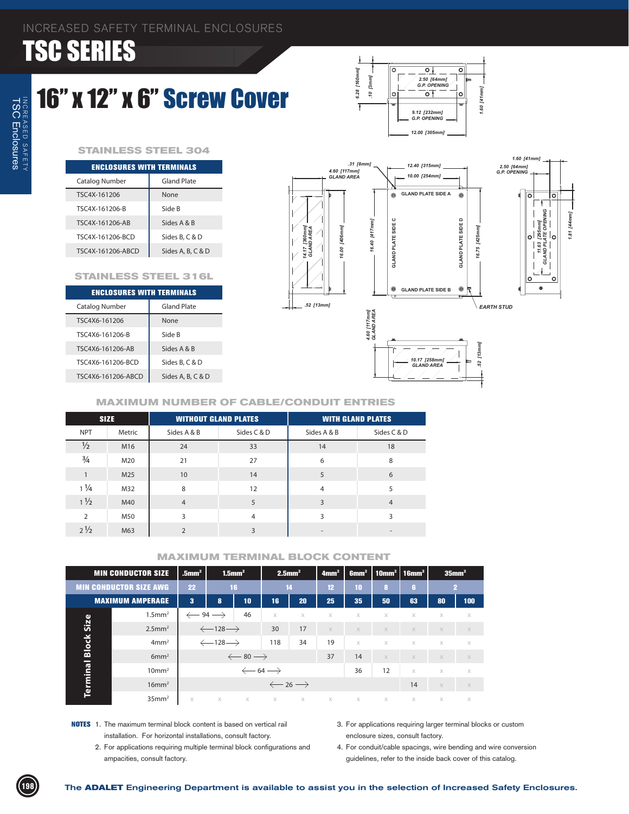### 16" x 12" x 6" Screw Cover

![](_page_16_Figure_3.jpeg)

#### **STAINLESS STEEL 304**

| <b>ENCLOSURES WITH TERMINALS</b> |                   |  |  |  |  |  |  |
|----------------------------------|-------------------|--|--|--|--|--|--|
| Catalog Number                   | Gland Plate       |  |  |  |  |  |  |
| TSC4X-161206                     | None              |  |  |  |  |  |  |
| TSC4X-161206-B                   | Side B            |  |  |  |  |  |  |
| TSC4X-161206-AR                  | Sides A & B       |  |  |  |  |  |  |
| TSC4X-161206-BCD                 | Sides B. C & D    |  |  |  |  |  |  |
| TSC4X-161206-ARCD                | Sides A, B, C & D |  |  |  |  |  |  |

#### **STAINLESS STEEL 316L**

| <b>ENCLOSURES WITH TERMINALS</b> |                   |  |  |  |  |  |  |  |
|----------------------------------|-------------------|--|--|--|--|--|--|--|
| Catalog Number                   | Gland Plate       |  |  |  |  |  |  |  |
| TSC4X6-161206                    | None              |  |  |  |  |  |  |  |
| TSC4X6-161206-B                  | Side B            |  |  |  |  |  |  |  |
| TSC4X6-161206-AR                 | Sides A & B       |  |  |  |  |  |  |  |
| TSC4X6-161206-BCD                | Sides B. C & D    |  |  |  |  |  |  |  |
| TSC4X6-161206-ABCD               | Sides A, B, C & D |  |  |  |  |  |  |  |
|                                  |                   |  |  |  |  |  |  |  |

![](_page_16_Figure_8.jpeg)

#### **MAXIMUM NUMBER OF CABLE/CONDUIT ENTRIES**

|                | <b>SIZE</b> | <b>WITHOUT GLAND PLATES</b> |             | <b>WITH GLAND PLATES</b> |                |  |  |
|----------------|-------------|-----------------------------|-------------|--------------------------|----------------|--|--|
| <b>NPT</b>     | Metric      | Sides A & B                 | Sides C & D | Sides A & B              | Sides C & D    |  |  |
| $\frac{1}{2}$  | M16         | 24                          | 33          | 14                       | 18             |  |  |
| $\frac{3}{4}$  | M20         | 21                          | 27          | 6                        | 8              |  |  |
|                | M25         | 10                          | 14          | 5                        | 6              |  |  |
| $1\frac{1}{4}$ | M32         | 8                           | 12          | $\overline{4}$           | 5              |  |  |
| $1\frac{1}{2}$ | M40         | $\overline{4}$              | 5           | 3                        | $\overline{4}$ |  |  |
| $\overline{2}$ | M50         | 3                           | 4           | 3                        | 3              |  |  |
| $2\frac{1}{2}$ | M63         | $\mathcal{P}$               | 3           | $\overline{\phantom{a}}$ |                |  |  |

|          | <b>MIN CONDUCTOR SIZE</b>     | $.5$ mm <sup>2</sup>          | $1.5$ mm <sup>2</sup>          |                               | $2.5$ mm <sup>2</sup>         |          | 4mm <sup>2</sup> | 6mm <sup>2</sup> | 10mm²   16mm² |             |          | $35$ mm <sup>2</sup> |
|----------|-------------------------------|-------------------------------|--------------------------------|-------------------------------|-------------------------------|----------|------------------|------------------|---------------|-------------|----------|----------------------|
|          | <b>MIN CONDUCTOR SIZE AWG</b> | 22                            |                                | 16                            |                               | 14       | 12               | 10               | 8             | 6           |          | $\mathbf{2}$         |
|          | <b>MAXIMUM AMPERAGE</b>       | 3                             | 10<br>8                        |                               | 16                            | 20       | 25               | 35               | 50            | 63          | 80       | 100                  |
|          | $1.5$ mm <sup>2</sup>         | $\leftarrow$ 94 $\rightarrow$ |                                | 46                            | $\times$                      | $\times$ | $\times$         | $\times$         | X             | $\times$    | X        | $\times$             |
| Size     | $2.5$ mm <sup>2</sup>         |                               | $\leftarrow$ 128 $\rightarrow$ |                               | 30                            | 17       | $\times$         | $\times$         | $\mathbb X$   | $\times$    | $\times$ | $\mathbb X$          |
| Block    | 4mm <sup>2</sup>              |                               | $\leftarrow$ 128 $\rightarrow$ |                               | 118                           | 34       | 19               | $\times$         | X             | $\times$    | $\times$ | $\times$             |
|          | 6mm <sup>2</sup>              |                               |                                | $\leftarrow$ 80 $\rightarrow$ |                               |          | 37               | 14               | $\times$      | $\times$    | $\times$ | $\times$             |
|          | 10mm <sup>2</sup>             |                               |                                |                               | $\leftarrow$ 64 $\rightarrow$ |          |                  | 36               | 12            | $\times$    | $\times$ | $\times$             |
| Terminal | $16$ mm <sup>2</sup>          |                               | $\leftarrow$ 26 $\rightarrow$  |                               |                               |          |                  |                  | 14            | $\mathbb X$ | $\times$ |                      |
|          | 35mm <sup>2</sup>             | $\times$                      | $\times$                       |                               | $X$ $X$                       | X        | X                | $\chi$           | $\chi$        | $\times$    | $\times$ | $\times$             |

- **NOTES** 1. The maximum terminal block content is based on vertical rail installation. For horizontal installations, consult factory.
	- 2. For applications requiring multiple terminal block configurations and ampacities, consult factory.
- 3. For applications requiring larger terminal blocks or custom enclosure sizes, consult factory.
- 4. For conduit/cable spacings, wire bending and wire conversion guidelines, refer to the inside back cover of this catalog.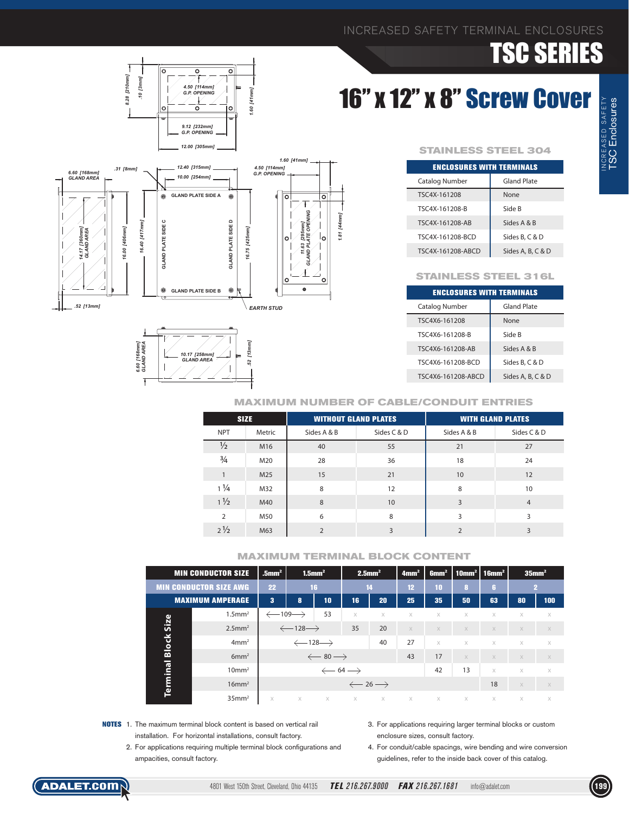# 16" x 12" x 8" Screw Cover

![](_page_17_Figure_3.jpeg)

![](_page_17_Figure_4.jpeg)

![](_page_17_Figure_5.jpeg)

#### **STAINLESS STEEL 304**

| <b>ENCLOSURES WITH TERMINALS</b> |                   |  |  |  |  |  |  |
|----------------------------------|-------------------|--|--|--|--|--|--|
| Catalog Number                   | Gland Plate       |  |  |  |  |  |  |
| TSC4X-161208                     | None              |  |  |  |  |  |  |
| TSC4X-161208-B                   | Side B            |  |  |  |  |  |  |
| TSC4X-161208-AB                  | Sides A & B       |  |  |  |  |  |  |
| TSC4X-161208-BCD                 | Sides B. C & D    |  |  |  |  |  |  |
| TSC4X-161208-ABCD                | Sides A, B, C & D |  |  |  |  |  |  |

#### **STAINLESS STEEL 316L**

| <b>ENCLOSURES WITH TERMINALS</b> |                   |  |  |  |  |  |  |  |
|----------------------------------|-------------------|--|--|--|--|--|--|--|
| Catalog Number                   | Gland Plate       |  |  |  |  |  |  |  |
| TSC4X6-161208                    | None              |  |  |  |  |  |  |  |
| TSC4X6-161208-B                  | Side B            |  |  |  |  |  |  |  |
| TSC4X6-161208-AB                 | Sides A & B       |  |  |  |  |  |  |  |
| TSC4X6-161208-BCD                | Sides B, C & D    |  |  |  |  |  |  |  |
| TSC4X6-161208-ABCD               | Sides A, B, C & D |  |  |  |  |  |  |  |

#### **MAXIMUM NUMBER OF CABLE/CONDUIT ENTRIES**

| <b>SIZE</b>    |        | <b>WITHOUT GLAND PLATES</b> |             | <b>WITH GLAND PLATES</b> |                |  |  |
|----------------|--------|-----------------------------|-------------|--------------------------|----------------|--|--|
| <b>NPT</b>     | Metric | Sides A & B                 | Sides C & D | Sides A & B              | Sides C & D    |  |  |
| $\frac{1}{2}$  | M16    | 40                          | 55          | 21                       | 27             |  |  |
| $\frac{3}{4}$  | M20    | 28                          | 36          | 18                       | 24             |  |  |
|                | M25    | 15                          | 21          | 10                       | 12             |  |  |
| $1\frac{1}{4}$ | M32    | 8                           | 12          | 8                        | 10             |  |  |
| $1\frac{1}{2}$ | M40    | 8                           | 10          | 3                        | $\overline{4}$ |  |  |
| $\mathcal{P}$  | M50    | 6                           | 8           | ς                        | ξ              |  |  |
| $2\frac{1}{2}$ | M63    | $\overline{2}$              | 3           | $\mathfrak{D}$           | 3              |  |  |

|              | <b>MIN CONDUCTOR SIZE</b>     | $.5$ mm <sup>2</sup>           | $1.5$ mm <sup>2</sup>          |                                | $2.5$ mm <sup>2</sup>         |    | 4mm <sup>2</sup> | 6mm <sup>2</sup> |          | 10mm <sup>2</sup>   16mm <sup>2</sup> |          | $35$ mm <sup>2</sup> |
|--------------|-------------------------------|--------------------------------|--------------------------------|--------------------------------|-------------------------------|----|------------------|------------------|----------|---------------------------------------|----------|----------------------|
|              | <b>MIN CONDUCTOR SIZE AWG</b> |                                |                                | 16                             | 14                            |    | 12 <sup>2</sup>  | 10               | 8        | G,                                    |          | 2                    |
|              | <b>MAXIMUM AMPERAGE</b>       | 3                              | 8                              | 10                             | 16                            | 20 | 25               | 35               | 50       | 63                                    | 80       | 100                  |
|              | $1.5$ mm <sup>2</sup>         | $\leftarrow$ 109 $\rightarrow$ |                                | 53                             | $\times$                      | X  | $\times$         | $\times$         | $\times$ | X                                     | $\times$ | $\times$             |
| Size         | $2.5$ mm <sup>2</sup>         |                                | $\leftarrow$ 128 $\rightarrow$ |                                | 35                            | 20 | $\times$         | $\times$         | $\times$ | $\times$                              | $\times$ | $\times$             |
| <b>Block</b> | 4mm <sup>2</sup>              |                                |                                | $\leftarrow$ 128 $\rightarrow$ |                               | 40 | 27               | $\times$         | $\times$ | $\times$                              | $\times$ | $\mathbb X$          |
|              | 6mm <sup>2</sup>              |                                | $\leftarrow$ 80 $\rightarrow$  |                                |                               |    | 43               | 17               | $\times$ | X                                     | $\times$ | $\times$             |
| Terminal     | $10 \text{mm}^2$              |                                | $\leftarrow$ 64 $\rightarrow$  |                                |                               |    |                  | 42               | 13       | $\times$                              | $\times$ | $\times$             |
|              | $16$ mm <sup>2</sup>          |                                |                                |                                | $\leftarrow$ 26 $\rightarrow$ |    |                  |                  |          | 18                                    | $\times$ | $\times$             |
|              | $35$ mm <sup>2</sup>          | X                              | $\times$                       | X                              | X                             | X  | $\times$         | X                | X        | X                                     | $\times$ | $\times$             |

- **NOTES** 1. The maximum terminal block content is based on vertical rail installation. For horizontal installations, consult factory.
	- 2. For applications requiring multiple terminal block configurations and ampacities, consult factory.
- 3. For applications requiring larger terminal blocks or custom enclosure sizes, consult factory.
- 4. For conduit/cable spacings, wire bending and wire conversion guidelines, refer to the inside back cover of this catalog.

![](_page_17_Picture_19.jpeg)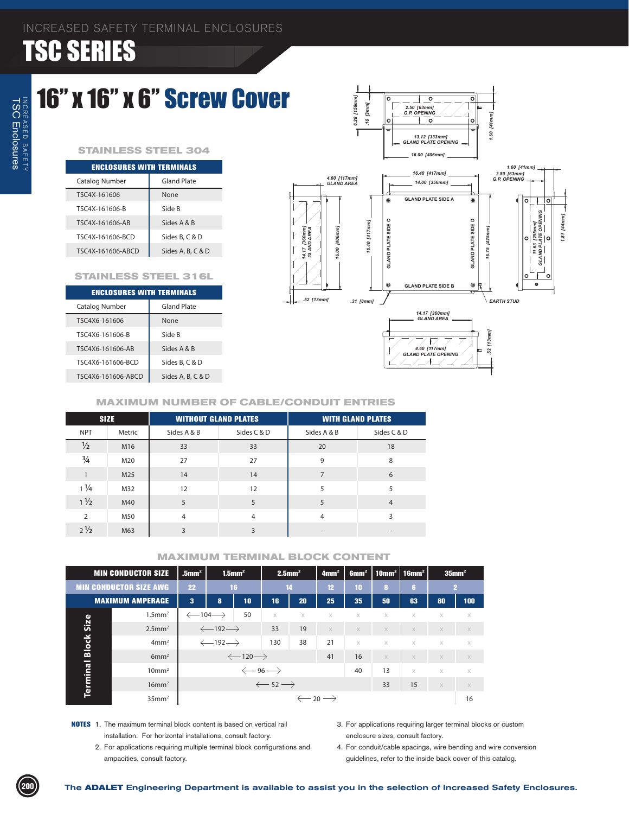### 16" x 16" x 6" Screw Cover

#### **STAINLESS STEEL 304**

| <b>ENCLOSURES WITH TERMINALS</b> |                   |  |  |  |  |  |  |  |
|----------------------------------|-------------------|--|--|--|--|--|--|--|
| Catalog Number                   | Gland Plate       |  |  |  |  |  |  |  |
| TSC4X-161606                     | None              |  |  |  |  |  |  |  |
| TSC4X-161606-B                   | Side B            |  |  |  |  |  |  |  |
| TSC4X-161606-AR                  | Sides A & B       |  |  |  |  |  |  |  |
| TSC4X-161606-BCD                 | Sides B, C & D    |  |  |  |  |  |  |  |
| TSC4X-161606-ABCD                | Sides A, B, C & D |  |  |  |  |  |  |  |

#### **STAINLESS STEEL 316L**

| <b>ENCLOSURES WITH TERMINALS</b> |                    |  |  |  |  |  |  |  |
|----------------------------------|--------------------|--|--|--|--|--|--|--|
| Catalog Number                   | <b>Gland Plate</b> |  |  |  |  |  |  |  |
| TSC4X6-161606                    | None               |  |  |  |  |  |  |  |
| TSC4X6-161606-B                  | Side B             |  |  |  |  |  |  |  |
| TSC4X6-161606-AB                 | Sides A & B        |  |  |  |  |  |  |  |
| TSC4X6-161606-BCD                | Sides B. C & D     |  |  |  |  |  |  |  |
| TSC4X6-161606-ABCD               | Sides A, B, C & D  |  |  |  |  |  |  |  |
|                                  |                    |  |  |  |  |  |  |  |

![](_page_18_Figure_7.jpeg)

 $\overline{\bullet}$ 

#### **MAXIMUM NUMBER OF CABLE/CONDUIT ENTRIES**

|                | <b>SIZE</b> | <b>WITHOUT GLAND PLATES</b> |             | <b>WITH GLAND PLATES</b> |                |  |  |
|----------------|-------------|-----------------------------|-------------|--------------------------|----------------|--|--|
| <b>NPT</b>     | Metric      | Sides A & B                 | Sides C & D | Sides A & B              | Sides C & D    |  |  |
| $\frac{1}{2}$  | M16         | 33                          | 33          | 20                       | 18             |  |  |
| $\frac{3}{4}$  | M20         | 27                          | 27          | 9                        | 8              |  |  |
|                | M25         | 14                          | 14          | 7                        | 6              |  |  |
| $1\frac{1}{4}$ | M32         | 12                          | 12          | 5                        | 5              |  |  |
| $1\frac{1}{2}$ | M40         | 5                           | 5           | 5                        | $\overline{4}$ |  |  |
| $\overline{2}$ | M50         | $\overline{4}$              | 4           | 4                        | 3              |  |  |
| $2\frac{1}{2}$ | M63         | 3                           | 3           | $\overline{\phantom{a}}$ |                |  |  |

|              | <b>MIN CONDUCTOR SIZE</b>     | $1.5$ mm <sup>2</sup><br>$.5$ mm <sup>2</sup> |                                | $2.5$ mm <sup>2</sup>          |                   | 4mm <sup>2</sup>              | 6mm <sup>2</sup>              |          | 10mm²   16mm² |          | 35mm <sup>2</sup> |              |  |
|--------------|-------------------------------|-----------------------------------------------|--------------------------------|--------------------------------|-------------------|-------------------------------|-------------------------------|----------|---------------|----------|-------------------|--------------|--|
|              | <b>MIN CONDUCTOR SIZE AWG</b> | 22                                            |                                | 16                             |                   | 14                            |                               | 10       | 8             | G.       |                   | $\mathbf{2}$ |  |
|              | <b>MAXIMUM AMPERAGE</b>       | $\bf{3}$                                      | 8                              | 10                             | 16'               | 20                            | 25                            | 35       | 50            | 63       | 80                | 100          |  |
|              | $1.5$ mm <sup>2</sup>         | $\leftarrow$ 104 $\rightarrow$                |                                | 50                             | $\times$          | $\times$                      | X                             | X        | X             | $\times$ | $\times$          | X            |  |
| Size         | $2.5$ mm <sup>2</sup>         |                                               | $\leftarrow$ 192 $\rightarrow$ |                                | 33                | 19                            | $\times$                      | $\times$ | $\times$      | $\times$ | $\times$          | $\times$     |  |
| <b>Block</b> | 4mm <sup>2</sup>              |                                               | $\leftarrow$ 192 $\rightarrow$ |                                | 130               | 38                            | 21                            | $\times$ | X             | $\times$ | $\times$          | $\times$     |  |
|              | 6mm <sup>2</sup>              |                                               |                                | $\leftarrow$ 120 $\rightarrow$ |                   |                               | 41                            | 16       | $\times$      | $\times$ | $\times$          | $\times$     |  |
|              | 10mm <sup>2</sup>             |                                               |                                |                                | $\xleftarrow{96}$ |                               |                               | 40       | 13            | $\times$ | $\times$          | $\times$     |  |
| Terminal     | $16$ mm <sup>2</sup>          |                                               |                                |                                |                   | $\leftarrow$ 52 $\rightarrow$ |                               |          | 33            | 15       | $\mathbb X$       | $\mathbb X$  |  |
|              | 35mm <sup>2</sup>             |                                               |                                |                                |                   |                               | $\leftarrow$ 20 $\rightarrow$ |          |               |          |                   | 16           |  |

- **NOTES** 1. The maximum terminal block content is based on vertical rail installation. For horizontal installations, consult factory.
	- 2. For applications requiring multiple terminal block configurations and ampacities, consult factory.
- 3. For applications requiring larger terminal blocks or custom enclosure sizes, consult factory.
- 4. For conduit/cable spacings, wire bending and wire conversion guidelines, refer to the inside back cover of this catalog.